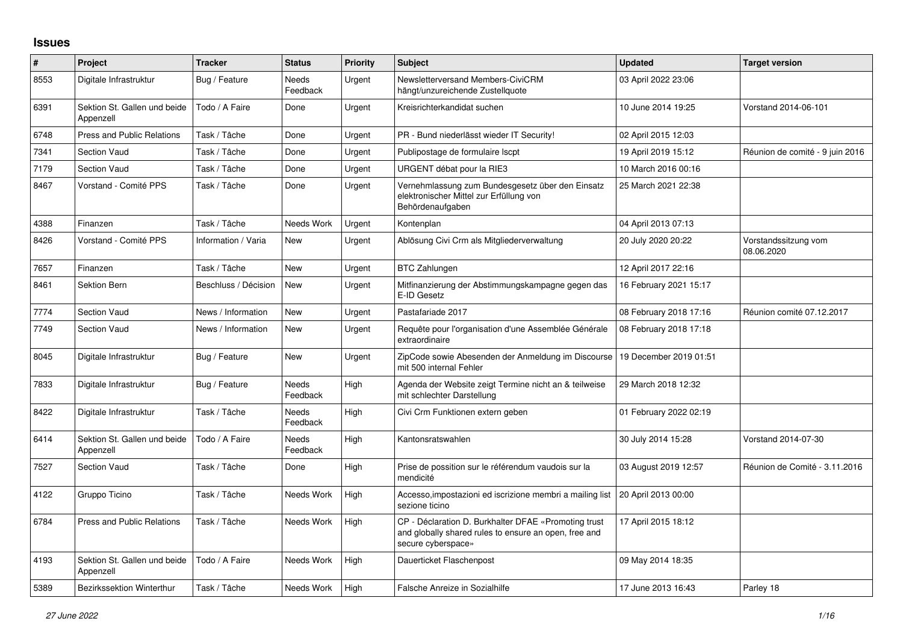## **Issues**

| $\#$ | Project                                   | <b>Tracker</b>       | <b>Status</b>            | <b>Priority</b> | <b>Subject</b>                                                                                                                      | <b>Updated</b>         | <b>Target version</b>              |
|------|-------------------------------------------|----------------------|--------------------------|-----------------|-------------------------------------------------------------------------------------------------------------------------------------|------------------------|------------------------------------|
| 8553 | Digitale Infrastruktur                    | Bug / Feature        | Needs<br>Feedback        | Urgent          | Newsletterversand Members-CiviCRM<br>hängt/unzureichende Zustellquote                                                               | 03 April 2022 23:06    |                                    |
| 6391 | Sektion St. Gallen und beide<br>Appenzell | Todo / A Faire       | Done                     | Urgent          | Kreisrichterkandidat suchen                                                                                                         | 10 June 2014 19:25     | Vorstand 2014-06-101               |
| 6748 | <b>Press and Public Relations</b>         | Task / Tâche         | Done                     | Urgent          | PR - Bund niederlässt wieder IT Security!                                                                                           | 02 April 2015 12:03    |                                    |
| 7341 | Section Vaud                              | Task / Tâche         | Done                     | Urgent          | Publipostage de formulaire Iscpt                                                                                                    | 19 April 2019 15:12    | Réunion de comité - 9 juin 2016    |
| 7179 | Section Vaud                              | Task / Tâche         | Done                     | Urgent          | URGENT débat pour la RIE3                                                                                                           | 10 March 2016 00:16    |                                    |
| 8467 | Vorstand - Comité PPS                     | Task / Tâche         | Done                     | Urgent          | Vernehmlassung zum Bundesgesetz über den Einsatz<br>elektronischer Mittel zur Erfüllung von<br>Behördenaufgaben                     | 25 March 2021 22:38    |                                    |
| 4388 | Finanzen                                  | Task / Tâche         | Needs Work               | Urgent          | Kontenplan                                                                                                                          | 04 April 2013 07:13    |                                    |
| 8426 | Vorstand - Comité PPS                     | Information / Varia  | New                      | Urgent          | Ablösung Civi Crm als Mitgliederverwaltung                                                                                          | 20 July 2020 20:22     | Vorstandssitzung vom<br>08.06.2020 |
| 7657 | Finanzen                                  | Task / Tâche         | New                      | Urgent          | <b>BTC Zahlungen</b>                                                                                                                | 12 April 2017 22:16    |                                    |
| 8461 | <b>Sektion Bern</b>                       | Beschluss / Décision | <b>New</b>               | Urgent          | Mitfinanzierung der Abstimmungskampagne gegen das<br>E-ID Gesetz                                                                    | 16 February 2021 15:17 |                                    |
| 7774 | <b>Section Vaud</b>                       | News / Information   | New                      | Urgent          | Pastafariade 2017                                                                                                                   | 08 February 2018 17:16 | Réunion comité 07.12.2017          |
| 7749 | Section Vaud                              | News / Information   | New                      | Urgent          | Requête pour l'organisation d'une Assemblée Générale<br>extraordinaire                                                              | 08 February 2018 17:18 |                                    |
| 8045 | Digitale Infrastruktur                    | Bug / Feature        | <b>New</b>               | Urgent          | ZipCode sowie Abesenden der Anmeldung im Discourse<br>mit 500 internal Fehler                                                       | 19 December 2019 01:51 |                                    |
| 7833 | Digitale Infrastruktur                    | Bug / Feature        | Needs<br>Feedback        | High            | Agenda der Website zeigt Termine nicht an & teilweise<br>mit schlechter Darstellung                                                 | 29 March 2018 12:32    |                                    |
| 8422 | Digitale Infrastruktur                    | Task / Tâche         | Needs<br>Feedback        | High            | Civi Crm Funktionen extern geben                                                                                                    | 01 February 2022 02:19 |                                    |
| 6414 | Sektion St. Gallen und beide<br>Appenzell | Todo / A Faire       | <b>Needs</b><br>Feedback | High            | Kantonsratswahlen                                                                                                                   | 30 July 2014 15:28     | Vorstand 2014-07-30                |
| 7527 | <b>Section Vaud</b>                       | Task / Tâche         | Done                     | High            | Prise de possition sur le référendum vaudois sur la<br>mendicité                                                                    | 03 August 2019 12:57   | Réunion de Comité - 3.11.2016      |
| 4122 | Gruppo Ticino                             | Task / Tâche         | Needs Work               | High            | Accesso, impostazioni ed iscrizione membri a mailing list<br>sezione ticino                                                         | 20 April 2013 00:00    |                                    |
| 6784 | <b>Press and Public Relations</b>         | Task / Tâche         | Needs Work               | High            | CP - Déclaration D. Burkhalter DFAE «Promoting trust<br>and globally shared rules to ensure an open, free and<br>secure cyberspace» | 17 April 2015 18:12    |                                    |
| 4193 | Sektion St. Gallen und beide<br>Appenzell | Todo / A Faire       | Needs Work               | High            | Dauerticket Flaschenpost                                                                                                            | 09 May 2014 18:35      |                                    |
| 5389 | Bezirkssektion Winterthur                 | Task / Tâche         | Needs Work               | High            | <b>Falsche Anreize in Sozialhilfe</b>                                                                                               | 17 June 2013 16:43     | Parley 18                          |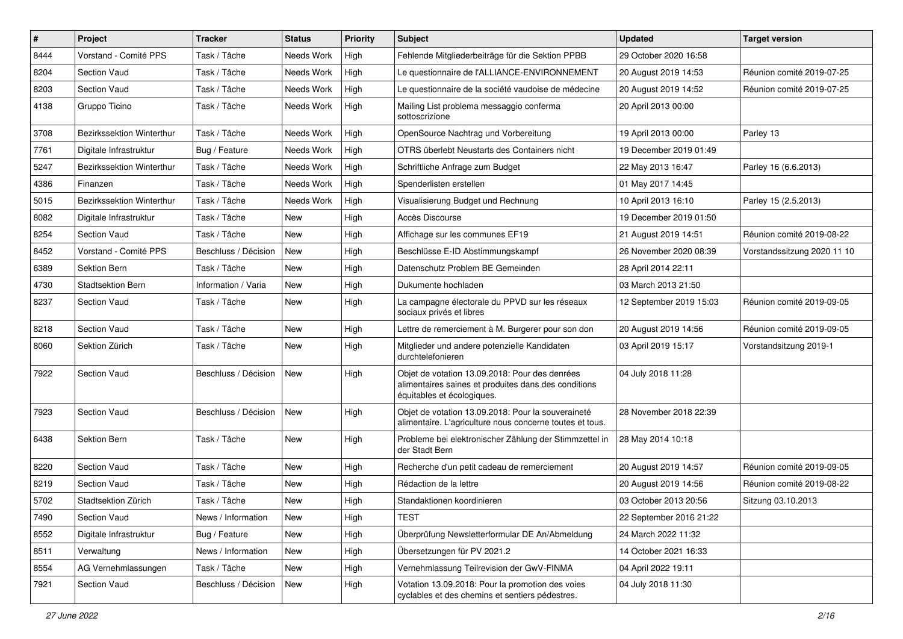| #    | Project                   | <b>Tracker</b>       | <b>Status</b> | <b>Priority</b> | <b>Subject</b>                                                                                                                       | <b>Updated</b>          | <b>Target version</b>       |
|------|---------------------------|----------------------|---------------|-----------------|--------------------------------------------------------------------------------------------------------------------------------------|-------------------------|-----------------------------|
| 8444 | Vorstand - Comité PPS     | Task / Tâche         | Needs Work    | High            | Fehlende Mitgliederbeiträge für die Sektion PPBB                                                                                     | 29 October 2020 16:58   |                             |
| 8204 | Section Vaud              | Task / Tâche         | Needs Work    | High            | Le questionnaire de l'ALLIANCE-ENVIRONNEMENT                                                                                         | 20 August 2019 14:53    | Réunion comité 2019-07-25   |
| 8203 | Section Vaud              | Task / Tâche         | Needs Work    | High            | Le questionnaire de la société vaudoise de médecine                                                                                  | 20 August 2019 14:52    | Réunion comité 2019-07-25   |
| 4138 | Gruppo Ticino             | Task / Tâche         | Needs Work    | High            | Mailing List problema messaggio conferma<br>sottoscrizione                                                                           | 20 April 2013 00:00     |                             |
| 3708 | Bezirkssektion Winterthur | Task / Tâche         | Needs Work    | High            | OpenSource Nachtrag und Vorbereitung                                                                                                 | 19 April 2013 00:00     | Parley 13                   |
| 7761 | Digitale Infrastruktur    | Bug / Feature        | Needs Work    | High            | OTRS überlebt Neustarts des Containers nicht                                                                                         | 19 December 2019 01:49  |                             |
| 5247 | Bezirkssektion Winterthur | Task / Tâche         | Needs Work    | High            | Schriftliche Anfrage zum Budget                                                                                                      | 22 May 2013 16:47       | Parley 16 (6.6.2013)        |
| 4386 | Finanzen                  | Task / Tâche         | Needs Work    | High            | Spenderlisten erstellen                                                                                                              | 01 May 2017 14:45       |                             |
| 5015 | Bezirkssektion Winterthur | Task / Tâche         | Needs Work    | High            | Visualisierung Budget und Rechnung                                                                                                   | 10 April 2013 16:10     | Parley 15 (2.5.2013)        |
| 8082 | Digitale Infrastruktur    | Task / Tâche         | New           | High            | Accès Discourse                                                                                                                      | 19 December 2019 01:50  |                             |
| 8254 | Section Vaud              | Task / Tâche         | <b>New</b>    | High            | Affichage sur les communes EF19                                                                                                      | 21 August 2019 14:51    | Réunion comité 2019-08-22   |
| 8452 | Vorstand - Comité PPS     | Beschluss / Décision | <b>New</b>    | High            | Beschlüsse E-ID Abstimmungskampf                                                                                                     | 26 November 2020 08:39  | Vorstandssitzung 2020 11 10 |
| 6389 | Sektion Bern              | Task / Tâche         | New           | High            | Datenschutz Problem BE Gemeinden                                                                                                     | 28 April 2014 22:11     |                             |
| 4730 | <b>Stadtsektion Bern</b>  | Information / Varia  | <b>New</b>    | High            | Dukumente hochladen                                                                                                                  | 03 March 2013 21:50     |                             |
| 8237 | <b>Section Vaud</b>       | Task / Tâche         | New           | High            | La campagne électorale du PPVD sur les réseaux<br>sociaux privés et libres                                                           | 12 September 2019 15:03 | Réunion comité 2019-09-05   |
| 8218 | Section Vaud              | Task / Tâche         | New           | High            | Lettre de remerciement à M. Burgerer pour son don                                                                                    | 20 August 2019 14:56    | Réunion comité 2019-09-05   |
| 8060 | Sektion Zürich            | Task / Tâche         | New           | High            | Mitglieder und andere potenzielle Kandidaten<br>durchtelefonieren                                                                    | 03 April 2019 15:17     | Vorstandsitzung 2019-1      |
| 7922 | <b>Section Vaud</b>       | Beschluss / Décision | New           | High            | Objet de votation 13.09.2018: Pour des denrées<br>alimentaires saines et produites dans des conditions<br>équitables et écologiques. | 04 July 2018 11:28      |                             |
| 7923 | <b>Section Vaud</b>       | Beschluss / Décision | <b>New</b>    | High            | Objet de votation 13.09.2018: Pour la souveraineté<br>alimentaire. L'agriculture nous concerne toutes et tous.                       | 28 November 2018 22:39  |                             |
| 6438 | <b>Sektion Bern</b>       | Task / Tâche         | New           | High            | Probleme bei elektronischer Zählung der Stimmzettel in<br>der Stadt Bern                                                             | 28 May 2014 10:18       |                             |
| 8220 | Section Vaud              | Task / Tâche         | New           | High            | Recherche d'un petit cadeau de remerciement                                                                                          | 20 August 2019 14:57    | Réunion comité 2019-09-05   |
| 8219 | Section Vaud              | Task / Tâche         | <b>New</b>    | High            | Rédaction de la lettre                                                                                                               | 20 August 2019 14:56    | Réunion comité 2019-08-22   |
| 5702 | Stadtsektion Zürich       | Task / Tâche         | New           | High            | Standaktionen koordinieren                                                                                                           | 03 October 2013 20:56   | Sitzung 03.10.2013          |
| 7490 | Section Vaud              | News / Information   | New           | High            | <b>TEST</b>                                                                                                                          | 22 September 2016 21:22 |                             |
| 8552 | Digitale Infrastruktur    | Bug / Feature        | New           | High            | Überprüfung Newsletterformular DE An/Abmeldung                                                                                       | 24 March 2022 11:32     |                             |
| 8511 | Verwaltung                | News / Information   | New           | High            | Übersetzungen für PV 2021.2                                                                                                          | 14 October 2021 16:33   |                             |
| 8554 | AG Vernehmlassungen       | Task / Tâche         | New           | High            | Vernehmlassung Teilrevision der GwV-FINMA                                                                                            | 04 April 2022 19:11     |                             |
| 7921 | Section Vaud              | Beschluss / Décision | New           | High            | Votation 13.09.2018: Pour la promotion des voies<br>cyclables et des chemins et sentiers pédestres.                                  | 04 July 2018 11:30      |                             |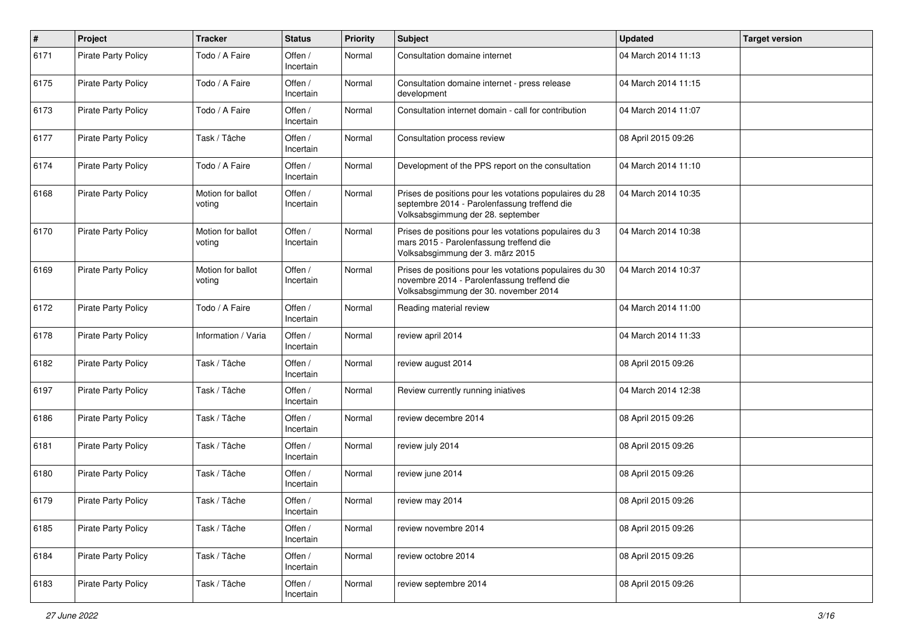| $\pmb{\#}$ | Project                    | <b>Tracker</b>              | <b>Status</b>        | <b>Priority</b> | <b>Subject</b>                                                                                                                                  | <b>Updated</b>      | <b>Target version</b> |
|------------|----------------------------|-----------------------------|----------------------|-----------------|-------------------------------------------------------------------------------------------------------------------------------------------------|---------------------|-----------------------|
| 6171       | <b>Pirate Party Policy</b> | Todo / A Faire              | Offen /<br>Incertain | Normal          | Consultation domaine internet                                                                                                                   | 04 March 2014 11:13 |                       |
| 6175       | <b>Pirate Party Policy</b> | Todo / A Faire              | Offen /<br>Incertain | Normal          | Consultation domaine internet - press release<br>development                                                                                    | 04 March 2014 11:15 |                       |
| 6173       | <b>Pirate Party Policy</b> | Todo / A Faire              | Offen /<br>Incertain | Normal          | Consultation internet domain - call for contribution                                                                                            | 04 March 2014 11:07 |                       |
| 6177       | <b>Pirate Party Policy</b> | Task / Tâche                | Offen /<br>Incertain | Normal          | Consultation process review                                                                                                                     | 08 April 2015 09:26 |                       |
| 6174       | <b>Pirate Party Policy</b> | Todo / A Faire              | Offen /<br>Incertain | Normal          | Development of the PPS report on the consultation                                                                                               | 04 March 2014 11:10 |                       |
| 6168       | <b>Pirate Party Policy</b> | Motion for ballot<br>voting | Offen /<br>Incertain | Normal          | Prises de positions pour les votations populaires du 28<br>septembre 2014 - Parolenfassung treffend die<br>Volksabsgimmung der 28. september    | 04 March 2014 10:35 |                       |
| 6170       | <b>Pirate Party Policy</b> | Motion for ballot<br>voting | Offen /<br>Incertain | Normal          | Prises de positions pour les votations populaires du 3<br>mars 2015 - Parolenfassung treffend die<br>Volksabsgimmung der 3. märz 2015           | 04 March 2014 10:38 |                       |
| 6169       | <b>Pirate Party Policy</b> | Motion for ballot<br>voting | Offen /<br>Incertain | Normal          | Prises de positions pour les votations populaires du 30<br>novembre 2014 - Parolenfassung treffend die<br>Volksabsgimmung der 30. november 2014 | 04 March 2014 10:37 |                       |
| 6172       | <b>Pirate Party Policy</b> | Todo / A Faire              | Offen /<br>Incertain | Normal          | Reading material review                                                                                                                         | 04 March 2014 11:00 |                       |
| 6178       | <b>Pirate Party Policy</b> | Information / Varia         | Offen /<br>Incertain | Normal          | review april 2014                                                                                                                               | 04 March 2014 11:33 |                       |
| 6182       | <b>Pirate Party Policy</b> | Task / Tâche                | Offen /<br>Incertain | Normal          | review august 2014                                                                                                                              | 08 April 2015 09:26 |                       |
| 6197       | <b>Pirate Party Policy</b> | Task / Tâche                | Offen /<br>Incertain | Normal          | Review currently running iniatives                                                                                                              | 04 March 2014 12:38 |                       |
| 6186       | <b>Pirate Party Policy</b> | Task / Tâche                | Offen /<br>Incertain | Normal          | review decembre 2014                                                                                                                            | 08 April 2015 09:26 |                       |
| 6181       | <b>Pirate Party Policy</b> | Task / Tâche                | Offen /<br>Incertain | Normal          | review july 2014                                                                                                                                | 08 April 2015 09:26 |                       |
| 6180       | <b>Pirate Party Policy</b> | Task / Tâche                | Offen /<br>Incertain | Normal          | review june 2014                                                                                                                                | 08 April 2015 09:26 |                       |
| 6179       | <b>Pirate Party Policy</b> | Task / Tâche                | Offen /<br>Incertain | Normal          | review may 2014                                                                                                                                 | 08 April 2015 09:26 |                       |
| 6185       | <b>Pirate Party Policy</b> | Task / Tâche                | Offen /<br>Incertain | Normal          | review novembre 2014                                                                                                                            | 08 April 2015 09:26 |                       |
| 6184       | <b>Pirate Party Policy</b> | Task / Tâche                | Offen /<br>Incertain | Normal          | review octobre 2014                                                                                                                             | 08 April 2015 09:26 |                       |
| 6183       | Pirate Party Policy        | Task / Tâche                | Offen /<br>Incertain | Normal          | review septembre 2014                                                                                                                           | 08 April 2015 09:26 |                       |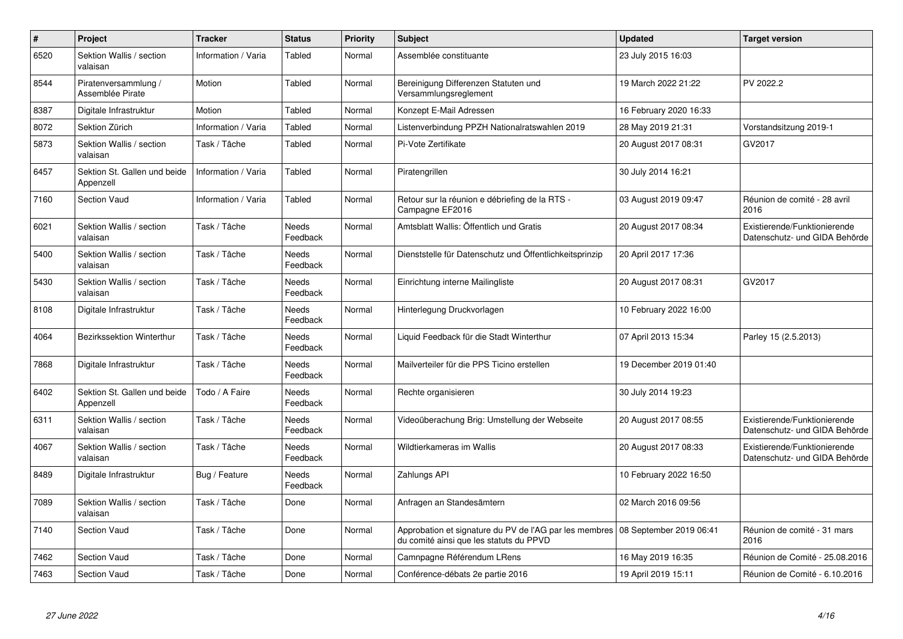| $\pmb{\#}$ | Project                                   | <b>Tracker</b>      | <b>Status</b>     | <b>Priority</b> | <b>Subject</b>                                                                                                            | <b>Updated</b>         | <b>Target version</b>                                         |
|------------|-------------------------------------------|---------------------|-------------------|-----------------|---------------------------------------------------------------------------------------------------------------------------|------------------------|---------------------------------------------------------------|
| 6520       | Sektion Wallis / section<br>valaisan      | Information / Varia | Tabled            | Normal          | Assemblée constituante                                                                                                    | 23 July 2015 16:03     |                                                               |
| 8544       | Piratenversammlung /<br>Assemblée Pirate  | Motion              | Tabled            | Normal          | Bereinigung Differenzen Statuten und<br>Versammlungsreglement                                                             | 19 March 2022 21:22    | PV 2022.2                                                     |
| 8387       | Digitale Infrastruktur                    | Motion              | Tabled            | Normal          | Konzept E-Mail Adressen                                                                                                   | 16 February 2020 16:33 |                                                               |
| 8072       | Sektion Zürich                            | Information / Varia | Tabled            | Normal          | Listenverbindung PPZH Nationalratswahlen 2019                                                                             | 28 May 2019 21:31      | Vorstandsitzung 2019-1                                        |
| 5873       | Sektion Wallis / section<br>valaisan      | Task / Tâche        | Tabled            | Normal          | Pi-Vote Zertifikate                                                                                                       | 20 August 2017 08:31   | GV2017                                                        |
| 6457       | Sektion St. Gallen und beide<br>Appenzell | Information / Varia | Tabled            | Normal          | Piratengrillen                                                                                                            | 30 July 2014 16:21     |                                                               |
| 7160       | <b>Section Vaud</b>                       | Information / Varia | Tabled            | Normal          | Retour sur la réunion e débriefing de la RTS -<br>Campagne EF2016                                                         | 03 August 2019 09:47   | Réunion de comité - 28 avril<br>2016                          |
| 6021       | Sektion Wallis / section<br>valaisan      | Task / Tâche        | Needs<br>Feedback | Normal          | Amtsblatt Wallis: Öffentlich und Gratis                                                                                   | 20 August 2017 08:34   | Existierende/Funktionierende<br>Datenschutz- und GIDA Behörde |
| 5400       | Sektion Wallis / section<br>valaisan      | Task / Tâche        | Needs<br>Feedback | Normal          | Dienststelle für Datenschutz und Öffentlichkeitsprinzip                                                                   | 20 April 2017 17:36    |                                                               |
| 5430       | Sektion Wallis / section<br>valaisan      | Task / Tâche        | Needs<br>Feedback | Normal          | Einrichtung interne Mailingliste                                                                                          | 20 August 2017 08:31   | GV2017                                                        |
| 8108       | Digitale Infrastruktur                    | Task / Tâche        | Needs<br>Feedback | Normal          | Hinterlegung Druckvorlagen                                                                                                | 10 February 2022 16:00 |                                                               |
| 4064       | <b>Bezirkssektion Winterthur</b>          | Task / Tâche        | Needs<br>Feedback | Normal          | Liquid Feedback für die Stadt Winterthur                                                                                  | 07 April 2013 15:34    | Parley 15 (2.5.2013)                                          |
| 7868       | Digitale Infrastruktur                    | Task / Tâche        | Needs<br>Feedback | Normal          | Mailverteiler für die PPS Ticino erstellen                                                                                | 19 December 2019 01:40 |                                                               |
| 6402       | Sektion St. Gallen und beide<br>Appenzell | Todo / A Faire      | Needs<br>Feedback | Normal          | Rechte organisieren                                                                                                       | 30 July 2014 19:23     |                                                               |
| 6311       | Sektion Wallis / section<br>valaisan      | Task / Tâche        | Needs<br>Feedback | Normal          | Videoüberachung Brig: Umstellung der Webseite                                                                             | 20 August 2017 08:55   | Existierende/Funktionierende<br>Datenschutz- und GIDA Behörde |
| 4067       | Sektion Wallis / section<br>valaisan      | Task / Tâche        | Needs<br>Feedback | Normal          | Wildtierkameras im Wallis                                                                                                 | 20 August 2017 08:33   | Existierende/Funktionierende<br>Datenschutz- und GIDA Behörde |
| 8489       | Digitale Infrastruktur                    | Bug / Feature       | Needs<br>Feedback | Normal          | Zahlungs API                                                                                                              | 10 February 2022 16:50 |                                                               |
| 7089       | Sektion Wallis / section<br>valaisan      | Task / Tâche        | Done              | Normal          | Anfragen an Standesämtern                                                                                                 | 02 March 2016 09:56    |                                                               |
| 7140       | Section Vaud                              | Task / Tâche        | Done              | Normal          | Approbation et signature du PV de l'AG par les membres 08 September 2019 06:41<br>du comité ainsi que les statuts du PPVD |                        | Réunion de comité - 31 mars<br>2016                           |
| 7462       | Section Vaud                              | Task / Tâche        | Done              | Normal          | Camnpagne Référendum LRens                                                                                                | 16 May 2019 16:35      | Réunion de Comité - 25.08.2016                                |
| 7463       | Section Vaud                              | Task / Tâche        | Done              | Normal          | Conférence-débats 2e partie 2016                                                                                          | 19 April 2019 15:11    | Réunion de Comité - 6.10.2016                                 |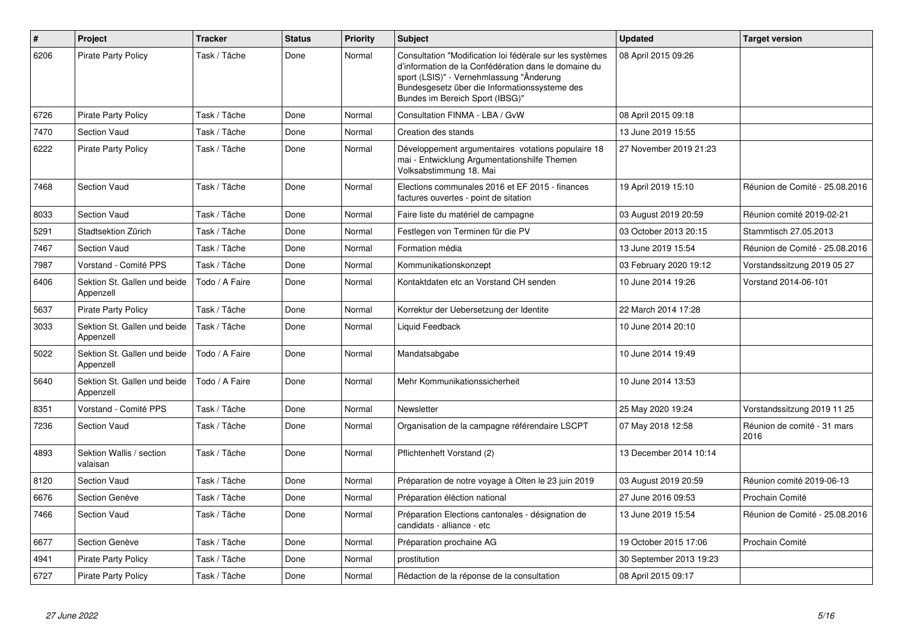| $\pmb{\#}$ | Project                                   | <b>Tracker</b> | <b>Status</b> | <b>Priority</b> | <b>Subject</b>                                                                                                                                                                                                                                   | <b>Updated</b>          | <b>Target version</b>               |
|------------|-------------------------------------------|----------------|---------------|-----------------|--------------------------------------------------------------------------------------------------------------------------------------------------------------------------------------------------------------------------------------------------|-------------------------|-------------------------------------|
| 6206       | <b>Pirate Party Policy</b>                | Task / Tâche   | Done          | Normal          | Consultation "Modification loi fédérale sur les systèmes<br>d'information de la Confédération dans le domaine du<br>sport (LSIS)" - Vernehmlassung "Änderung<br>Bundesgesetz über die Informationssysteme des<br>Bundes im Bereich Sport (IBSG)" | 08 April 2015 09:26     |                                     |
| 6726       | <b>Pirate Party Policy</b>                | Task / Tâche   | Done          | Normal          | Consultation FINMA - LBA / GvW                                                                                                                                                                                                                   | 08 April 2015 09:18     |                                     |
| 7470       | <b>Section Vaud</b>                       | Task / Tâche   | Done          | Normal          | Creation des stands                                                                                                                                                                                                                              | 13 June 2019 15:55      |                                     |
| 6222       | <b>Pirate Party Policy</b>                | Task / Tâche   | Done          | Normal          | Développement argumentaires votations populaire 18<br>mai - Entwicklung Argumentationshilfe Themen<br>Volksabstimmung 18. Mai                                                                                                                    | 27 November 2019 21:23  |                                     |
| 7468       | <b>Section Vaud</b>                       | Task / Tâche   | Done          | Normal          | Elections communales 2016 et EF 2015 - finances<br>factures ouvertes - point de sitation                                                                                                                                                         | 19 April 2019 15:10     | Réunion de Comité - 25.08.2016      |
| 8033       | <b>Section Vaud</b>                       | Task / Tâche   | Done          | Normal          | Faire liste du matériel de campagne                                                                                                                                                                                                              | 03 August 2019 20:59    | Réunion comité 2019-02-21           |
| 5291       | Stadtsektion Zürich                       | Task / Tâche   | Done          | Normal          | Festlegen von Terminen für die PV                                                                                                                                                                                                                | 03 October 2013 20:15   | Stammtisch 27.05.2013               |
| 7467       | <b>Section Vaud</b>                       | Task / Tâche   | Done          | Normal          | Formation média                                                                                                                                                                                                                                  | 13 June 2019 15:54      | Réunion de Comité - 25.08.2016      |
| 7987       | Vorstand - Comité PPS                     | Task / Tâche   | Done          | Normal          | Kommunikationskonzept                                                                                                                                                                                                                            | 03 February 2020 19:12  | Vorstandssitzung 2019 05 27         |
| 6406       | Sektion St. Gallen und beide<br>Appenzell | Todo / A Faire | Done          | Normal          | Kontaktdaten etc an Vorstand CH senden                                                                                                                                                                                                           | 10 June 2014 19:26      | Vorstand 2014-06-101                |
| 5637       | <b>Pirate Party Policy</b>                | Task / Tâche   | Done          | Normal          | Korrektur der Uebersetzung der Identite                                                                                                                                                                                                          | 22 March 2014 17:28     |                                     |
| 3033       | Sektion St. Gallen und beide<br>Appenzell | Task / Tâche   | Done          | Normal          | Liquid Feedback                                                                                                                                                                                                                                  | 10 June 2014 20:10      |                                     |
| 5022       | Sektion St. Gallen und beide<br>Appenzell | Todo / A Faire | Done          | Normal          | Mandatsabgabe                                                                                                                                                                                                                                    | 10 June 2014 19:49      |                                     |
| 5640       | Sektion St. Gallen und beide<br>Appenzell | Todo / A Faire | Done          | Normal          | Mehr Kommunikationssicherheit                                                                                                                                                                                                                    | 10 June 2014 13:53      |                                     |
| 8351       | Vorstand - Comité PPS                     | Task / Tâche   | Done          | Normal          | Newsletter                                                                                                                                                                                                                                       | 25 May 2020 19:24       | Vorstandssitzung 2019 11 25         |
| 7236       | <b>Section Vaud</b>                       | Task / Tâche   | Done          | Normal          | Organisation de la campagne référendaire LSCPT                                                                                                                                                                                                   | 07 May 2018 12:58       | Réunion de comité - 31 mars<br>2016 |
| 4893       | Sektion Wallis / section<br>valaisan      | Task / Tâche   | Done          | Normal          | Pflichtenheft Vorstand (2)                                                                                                                                                                                                                       | 13 December 2014 10:14  |                                     |
| 8120       | <b>Section Vaud</b>                       | Task / Tâche   | Done          | Normal          | Préparation de notre voyage à Olten le 23 juin 2019                                                                                                                                                                                              | 03 August 2019 20:59    | Réunion comité 2019-06-13           |
| 6676       | Section Genève                            | Task / Tâche   | Done          | Normal          | Préparation éléction national                                                                                                                                                                                                                    | 27 June 2016 09:53      | Prochain Comité                     |
| 7466       | <b>Section Vaud</b>                       | Task / Tâche   | Done          | Normal          | Préparation Elections cantonales - désignation de<br>candidats - alliance - etc                                                                                                                                                                  | 13 June 2019 15:54      | Réunion de Comité - 25.08.2016      |
| 6677       | Section Genève                            | Task / Tâche   | Done          | Normal          | Préparation prochaine AG                                                                                                                                                                                                                         | 19 October 2015 17:06   | Prochain Comité                     |
| 4941       | <b>Pirate Party Policy</b>                | Task / Tâche   | Done          | Normal          | prostitution                                                                                                                                                                                                                                     | 30 September 2013 19:23 |                                     |
| 6727       | <b>Pirate Party Policy</b>                | Task / Tâche   | Done          | Normal          | Rédaction de la réponse de la consultation                                                                                                                                                                                                       | 08 April 2015 09:17     |                                     |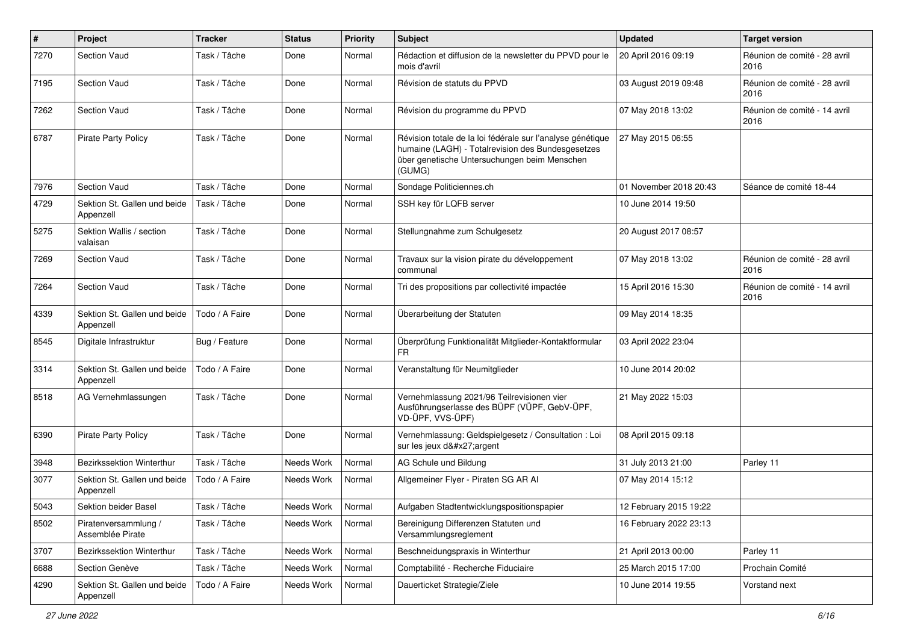| $\pmb{\#}$ | Project                                   | <b>Tracker</b> | <b>Status</b> | <b>Priority</b> | Subject                                                                                                                                                                   | <b>Updated</b>         | <b>Target version</b>                |
|------------|-------------------------------------------|----------------|---------------|-----------------|---------------------------------------------------------------------------------------------------------------------------------------------------------------------------|------------------------|--------------------------------------|
| 7270       | Section Vaud                              | Task / Tâche   | Done          | Normal          | Rédaction et diffusion de la newsletter du PPVD pour le<br>mois d'avril                                                                                                   | 20 April 2016 09:19    | Réunion de comité - 28 avril<br>2016 |
| 7195       | Section Vaud                              | Task / Tâche   | Done          | Normal          | Révision de statuts du PPVD                                                                                                                                               | 03 August 2019 09:48   | Réunion de comité - 28 avril<br>2016 |
| 7262       | <b>Section Vaud</b>                       | Task / Tâche   | Done          | Normal          | Révision du programme du PPVD                                                                                                                                             | 07 May 2018 13:02      | Réunion de comité - 14 avril<br>2016 |
| 6787       | Pirate Party Policy                       | Task / Tâche   | Done          | Normal          | Révision totale de la loi fédérale sur l'analyse génétique<br>humaine (LAGH) - Totalrevision des Bundesgesetzes<br>über genetische Untersuchungen beim Menschen<br>(GUMG) | 27 May 2015 06:55      |                                      |
| 7976       | Section Vaud                              | Task / Tâche   | Done          | Normal          | Sondage Politiciennes.ch                                                                                                                                                  | 01 November 2018 20:43 | Séance de comité 18-44               |
| 4729       | Sektion St. Gallen und beide<br>Appenzell | Task / Tâche   | Done          | Normal          | SSH key für LQFB server                                                                                                                                                   | 10 June 2014 19:50     |                                      |
| 5275       | Sektion Wallis / section<br>valaisan      | Task / Tâche   | Done          | Normal          | Stellungnahme zum Schulgesetz                                                                                                                                             | 20 August 2017 08:57   |                                      |
| 7269       | Section Vaud                              | Task / Tâche   | Done          | Normal          | Travaux sur la vision pirate du développement<br>communal                                                                                                                 | 07 May 2018 13:02      | Réunion de comité - 28 avril<br>2016 |
| 7264       | Section Vaud                              | Task / Tâche   | Done          | Normal          | Tri des propositions par collectivité impactée                                                                                                                            | 15 April 2016 15:30    | Réunion de comité - 14 avril<br>2016 |
| 4339       | Sektion St. Gallen und beide<br>Appenzell | Todo / A Faire | Done          | Normal          | Überarbeitung der Statuten                                                                                                                                                | 09 May 2014 18:35      |                                      |
| 8545       | Digitale Infrastruktur                    | Bug / Feature  | Done          | Normal          | Überprüfung Funktionalität Mitglieder-Kontaktformular<br><b>FR</b>                                                                                                        | 03 April 2022 23:04    |                                      |
| 3314       | Sektion St. Gallen und beide<br>Appenzell | Todo / A Faire | Done          | Normal          | Veranstaltung für Neumitglieder                                                                                                                                           | 10 June 2014 20:02     |                                      |
| 8518       | AG Vernehmlassungen                       | Task / Tâche   | Done          | Normal          | Vernehmlassung 2021/96 Teilrevisionen vier<br>Ausführungserlasse des BÜPF (VÜPF, GebV-ÜPF,<br>VD-ÜPF, VVS-ÜPF)                                                            | 21 May 2022 15:03      |                                      |
| 6390       | <b>Pirate Party Policy</b>                | Task / Tâche   | Done          | Normal          | Vernehmlassung: Geldspielgesetz / Consultation : Loi<br>sur les jeux d'argent                                                                                             | 08 April 2015 09:18    |                                      |
| 3948       | Bezirkssektion Winterthur                 | Task / Tâche   | Needs Work    | Normal          | AG Schule und Bildung                                                                                                                                                     | 31 July 2013 21:00     | Parley 11                            |
| 3077       | Sektion St. Gallen und beide<br>Appenzell | Todo / A Faire | Needs Work    | Normal          | Allgemeiner Flyer - Piraten SG AR AI                                                                                                                                      | 07 May 2014 15:12      |                                      |
| 5043       | Sektion beider Basel                      | Task / Tâche   | Needs Work    | Normal          | Aufgaben Stadtentwicklungspositionspapier                                                                                                                                 | 12 February 2015 19:22 |                                      |
| 8502       | Piratenversammlung /<br>Assemblée Pirate  | Task / Tâche   | Needs Work    | Normal          | Bereinigung Differenzen Statuten und<br>Versammlungsreglement                                                                                                             | 16 February 2022 23:13 |                                      |
| 3707       | Bezirkssektion Winterthur                 | Task / Tâche   | Needs Work    | Normal          | Beschneidungspraxis in Winterthur                                                                                                                                         | 21 April 2013 00:00    | Parley 11                            |
| 6688       | Section Genève                            | Task / Tâche   | Needs Work    | Normal          | Comptabilité - Recherche Fiduciaire                                                                                                                                       | 25 March 2015 17:00    | Prochain Comité                      |
| 4290       | Sektion St. Gallen und beide<br>Appenzell | Todo / A Faire | Needs Work    | Normal          | Dauerticket Strategie/Ziele                                                                                                                                               | 10 June 2014 19:55     | Vorstand next                        |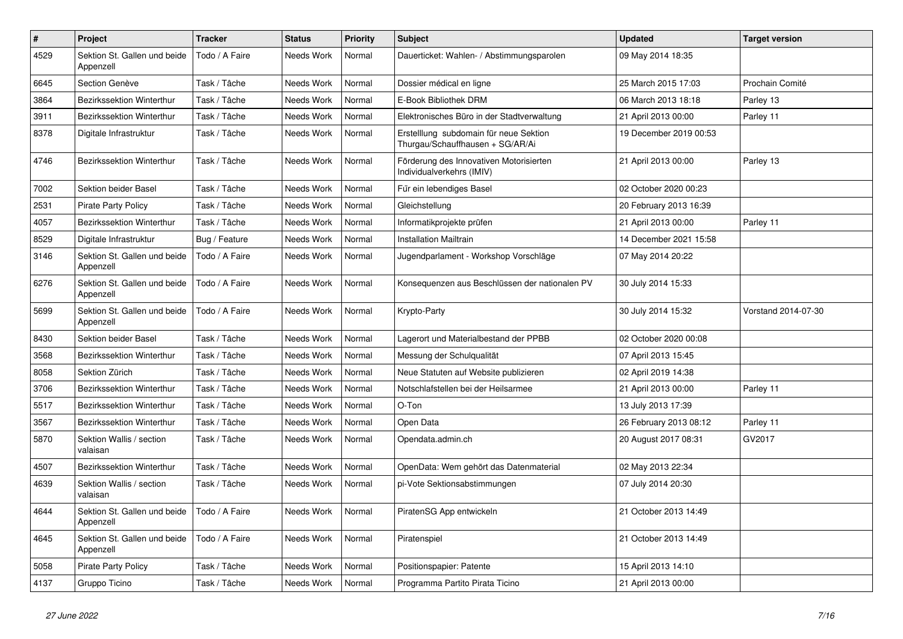| $\pmb{\#}$ | Project                                   | <b>Tracker</b> | <b>Status</b> | <b>Priority</b> | <b>Subject</b>                                                             | <b>Updated</b>         | <b>Target version</b> |
|------------|-------------------------------------------|----------------|---------------|-----------------|----------------------------------------------------------------------------|------------------------|-----------------------|
| 4529       | Sektion St. Gallen und beide<br>Appenzell | Todo / A Faire | Needs Work    | Normal          | Dauerticket: Wahlen- / Abstimmungsparolen                                  | 09 May 2014 18:35      |                       |
| 6645       | Section Genève                            | Task / Tâche   | Needs Work    | Normal          | Dossier médical en ligne                                                   | 25 March 2015 17:03    | Prochain Comité       |
| 3864       | Bezirkssektion Winterthur                 | Task / Tâche   | Needs Work    | Normal          | E-Book Bibliothek DRM                                                      | 06 March 2013 18:18    | Parley 13             |
| 3911       | <b>Bezirkssektion Winterthur</b>          | Task / Tâche   | Needs Work    | Normal          | Elektronisches Büro in der Stadtverwaltung                                 | 21 April 2013 00:00    | Parley 11             |
| 8378       | Digitale Infrastruktur                    | Task / Tâche   | Needs Work    | Normal          | Erstelllung subdomain für neue Sektion<br>Thurgau/Schauffhausen + SG/AR/Ai | 19 December 2019 00:53 |                       |
| 4746       | Bezirkssektion Winterthur                 | Task / Tâche   | Needs Work    | Normal          | Förderung des Innovativen Motorisierten<br>Individualverkehrs (IMIV)       | 21 April 2013 00:00    | Parley 13             |
| 7002       | Sektion beider Basel                      | Task / Tâche   | Needs Work    | Normal          | Für ein lebendiges Basel                                                   | 02 October 2020 00:23  |                       |
| 2531       | Pirate Party Policy                       | Task / Tâche   | Needs Work    | Normal          | Gleichstellung                                                             | 20 February 2013 16:39 |                       |
| 4057       | <b>Bezirkssektion Winterthur</b>          | Task / Tâche   | Needs Work    | Normal          | Informatikprojekte prüfen                                                  | 21 April 2013 00:00    | Parley 11             |
| 8529       | Digitale Infrastruktur                    | Bug / Feature  | Needs Work    | Normal          | <b>Installation Mailtrain</b>                                              | 14 December 2021 15:58 |                       |
| 3146       | Sektion St. Gallen und beide<br>Appenzell | Todo / A Faire | Needs Work    | Normal          | Jugendparlament - Workshop Vorschläge                                      | 07 May 2014 20:22      |                       |
| 6276       | Sektion St. Gallen und beide<br>Appenzell | Todo / A Faire | Needs Work    | Normal          | Konsequenzen aus Beschlüssen der nationalen PV                             | 30 July 2014 15:33     |                       |
| 5699       | Sektion St. Gallen und beide<br>Appenzell | Todo / A Faire | Needs Work    | Normal          | Krypto-Party                                                               | 30 July 2014 15:32     | Vorstand 2014-07-30   |
| 8430       | Sektion beider Basel                      | Task / Tâche   | Needs Work    | Normal          | Lagerort und Materialbestand der PPBB                                      | 02 October 2020 00:08  |                       |
| 3568       | <b>Bezirkssektion Winterthur</b>          | Task / Tâche   | Needs Work    | Normal          | Messung der Schulqualität                                                  | 07 April 2013 15:45    |                       |
| 8058       | Sektion Zürich                            | Task / Tâche   | Needs Work    | Normal          | Neue Statuten auf Website publizieren                                      | 02 April 2019 14:38    |                       |
| 3706       | <b>Bezirkssektion Winterthur</b>          | Task / Tâche   | Needs Work    | Normal          | Notschlafstellen bei der Heilsarmee                                        | 21 April 2013 00:00    | Parley 11             |
| 5517       | Bezirkssektion Winterthur                 | Task / Tâche   | Needs Work    | Normal          | O-Ton                                                                      | 13 July 2013 17:39     |                       |
| 3567       | <b>Bezirkssektion Winterthur</b>          | Task / Tâche   | Needs Work    | Normal          | Open Data                                                                  | 26 February 2013 08:12 | Parley 11             |
| 5870       | Sektion Wallis / section<br>valaisan      | Task / Tâche   | Needs Work    | Normal          | Opendata.admin.ch                                                          | 20 August 2017 08:31   | GV2017                |
| 4507       | Bezirkssektion Winterthur                 | Task / Tâche   | Needs Work    | Normal          | OpenData: Wem gehört das Datenmaterial                                     | 02 May 2013 22:34      |                       |
| 4639       | Sektion Wallis / section<br>valaisan      | Task / Tâche   | Needs Work    | Normal          | pi-Vote Sektionsabstimmungen                                               | 07 July 2014 20:30     |                       |
| 4644       | Sektion St. Gallen und beide<br>Appenzell | Todo / A Faire | Needs Work    | Normal          | PiratenSG App entwickeln                                                   | 21 October 2013 14:49  |                       |
| 4645       | Sektion St. Gallen und beide<br>Appenzell | Todo / A Faire | Needs Work    | Normal          | Piratenspiel                                                               | 21 October 2013 14:49  |                       |
| 5058       | <b>Pirate Party Policy</b>                | Task / Tâche   | Needs Work    | Normal          | Positionspapier: Patente                                                   | 15 April 2013 14:10    |                       |
| 4137       | Gruppo Ticino                             | Task / Tâche   | Needs Work    | Normal          | Programma Partito Pirata Ticino                                            | 21 April 2013 00:00    |                       |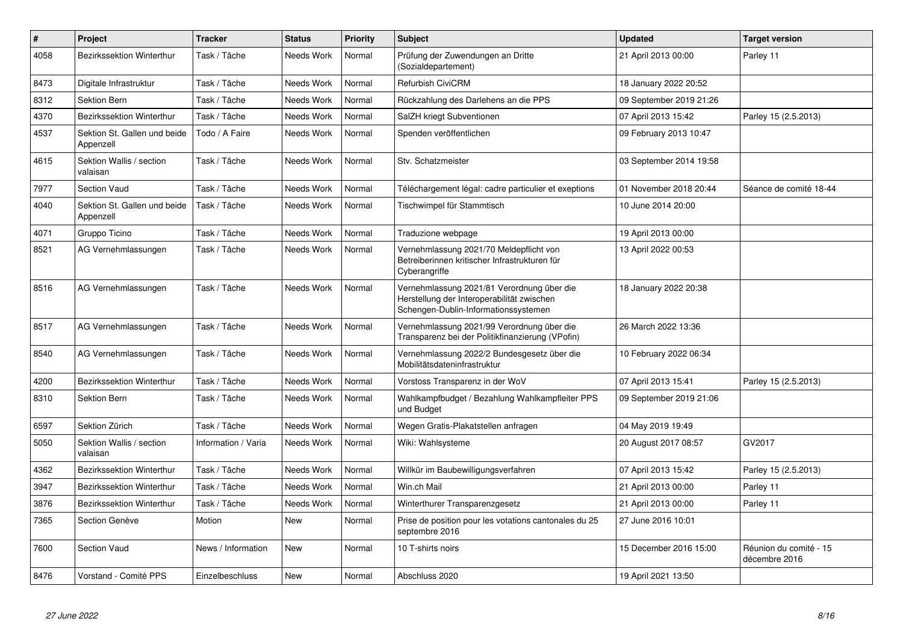| $\pmb{\#}$ | Project                                   | <b>Tracker</b>      | <b>Status</b> | <b>Priority</b> | <b>Subject</b>                                                                                                                   | <b>Updated</b>          | <b>Target version</b>                   |
|------------|-------------------------------------------|---------------------|---------------|-----------------|----------------------------------------------------------------------------------------------------------------------------------|-------------------------|-----------------------------------------|
| 4058       | <b>Bezirkssektion Winterthur</b>          | Task / Tâche        | Needs Work    | Normal          | Prüfung der Zuwendungen an Dritte<br>(Sozialdepartement)                                                                         | 21 April 2013 00:00     | Parley 11                               |
| 8473       | Digitale Infrastruktur                    | Task / Tâche        | Needs Work    | Normal          | <b>Refurbish CiviCRM</b>                                                                                                         | 18 January 2022 20:52   |                                         |
| 8312       | <b>Sektion Bern</b>                       | Task / Tâche        | Needs Work    | Normal          | Rückzahlung des Darlehens an die PPS                                                                                             | 09 September 2019 21:26 |                                         |
| 4370       | <b>Bezirkssektion Winterthur</b>          | Task / Tâche        | Needs Work    | Normal          | SalZH kriegt Subventionen                                                                                                        | 07 April 2013 15:42     | Parley 15 (2.5.2013)                    |
| 4537       | Sektion St. Gallen und beide<br>Appenzell | Todo / A Faire      | Needs Work    | Normal          | Spenden veröffentlichen                                                                                                          | 09 February 2013 10:47  |                                         |
| 4615       | Sektion Wallis / section<br>valaisan      | Task / Tâche        | Needs Work    | Normal          | Stv. Schatzmeister                                                                                                               | 03 September 2014 19:58 |                                         |
| 7977       | <b>Section Vaud</b>                       | Task / Tâche        | Needs Work    | Normal          | Téléchargement légal: cadre particulier et exeptions                                                                             | 01 November 2018 20:44  | Séance de comité 18-44                  |
| 4040       | Sektion St. Gallen und beide<br>Appenzell | Task / Tâche        | Needs Work    | Normal          | Tischwimpel für Stammtisch                                                                                                       | 10 June 2014 20:00      |                                         |
| 4071       | Gruppo Ticino                             | Task / Tâche        | Needs Work    | Normal          | Traduzione webpage                                                                                                               | 19 April 2013 00:00     |                                         |
| 8521       | AG Vernehmlassungen                       | Task / Tâche        | Needs Work    | Normal          | Vernehmlassung 2021/70 Meldepflicht von<br>Betreiberinnen kritischer Infrastrukturen für<br>Cyberangriffe                        | 13 April 2022 00:53     |                                         |
| 8516       | AG Vernehmlassungen                       | Task / Tâche        | Needs Work    | Normal          | Vernehmlassung 2021/81 Verordnung über die<br>Herstellung der Interoperabilität zwischen<br>Schengen-Dublin-Informationssystemen | 18 January 2022 20:38   |                                         |
| 8517       | AG Vernehmlassungen                       | Task / Tâche        | Needs Work    | Normal          | Vernehmlassung 2021/99 Verordnung über die<br>Transparenz bei der Politikfinanzierung (VPofin)                                   | 26 March 2022 13:36     |                                         |
| 8540       | AG Vernehmlassungen                       | Task / Tâche        | Needs Work    | Normal          | Vernehmlassung 2022/2 Bundesgesetz über die<br>Mobilitätsdateninfrastruktur                                                      | 10 February 2022 06:34  |                                         |
| 4200       | <b>Bezirkssektion Winterthur</b>          | Task / Tâche        | Needs Work    | Normal          | Vorstoss Transparenz in der WoV                                                                                                  | 07 April 2013 15:41     | Parley 15 (2.5.2013)                    |
| 8310       | Sektion Bern                              | Task / Tâche        | Needs Work    | Normal          | Wahlkampfbudget / Bezahlung Wahlkampfleiter PPS<br>und Budget                                                                    | 09 September 2019 21:06 |                                         |
| 6597       | Sektion Zürich                            | Task / Tâche        | Needs Work    | Normal          | Wegen Gratis-Plakatstellen anfragen                                                                                              | 04 May 2019 19:49       |                                         |
| 5050       | Sektion Wallis / section<br>valaisan      | Information / Varia | Needs Work    | Normal          | Wiki: Wahlsysteme                                                                                                                | 20 August 2017 08:57    | GV2017                                  |
| 4362       | <b>Bezirkssektion Winterthur</b>          | Task / Tâche        | Needs Work    | Normal          | Willkür im Baubewilligungsverfahren                                                                                              | 07 April 2013 15:42     | Parley 15 (2.5.2013)                    |
| 3947       | Bezirkssektion Winterthur                 | Task / Tâche        | Needs Work    | Normal          | Win.ch Mail                                                                                                                      | 21 April 2013 00:00     | Parley 11                               |
| 3876       | Bezirkssektion Winterthur                 | Task / Tâche        | Needs Work    | Normal          | Winterthurer Transparenzgesetz                                                                                                   | 21 April 2013 00:00     | Parley 11                               |
| 7365       | Section Genève                            | Motion              | <b>New</b>    | Normal          | Prise de position pour les votations cantonales du 25<br>septembre 2016                                                          | 27 June 2016 10:01      |                                         |
| 7600       | <b>Section Vaud</b>                       | News / Information  | <b>New</b>    | Normal          | 10 T-shirts noirs                                                                                                                | 15 December 2016 15:00  | Réunion du comité - 15<br>décembre 2016 |
| 8476       | Vorstand - Comité PPS                     | Einzelbeschluss     | New           | Normal          | Abschluss 2020                                                                                                                   | 19 April 2021 13:50     |                                         |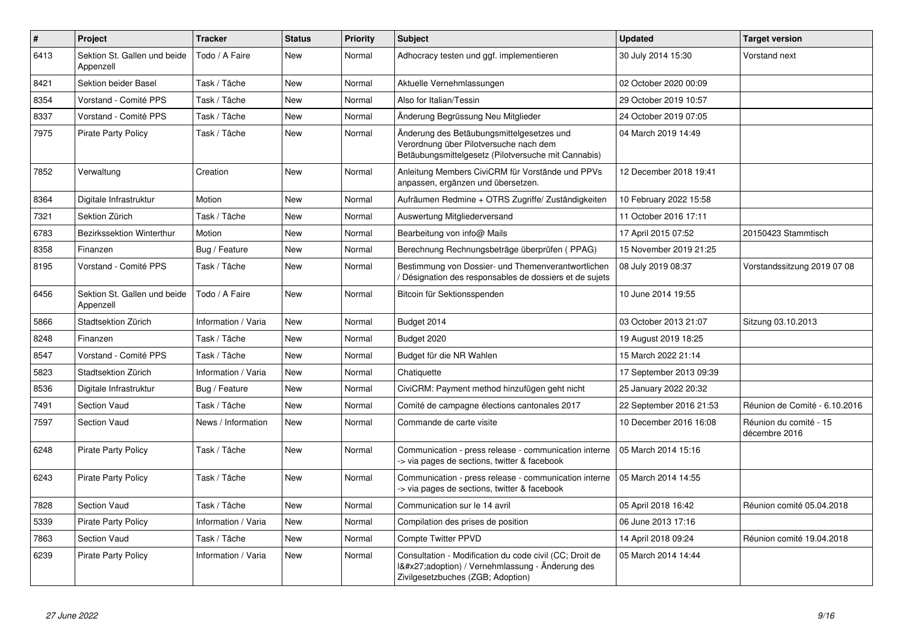| $\vert$ # | Project                                   | <b>Tracker</b>      | <b>Status</b> | <b>Priority</b> | <b>Subject</b>                                                                                                                              | <b>Updated</b>          | <b>Target version</b>                   |
|-----------|-------------------------------------------|---------------------|---------------|-----------------|---------------------------------------------------------------------------------------------------------------------------------------------|-------------------------|-----------------------------------------|
| 6413      | Sektion St. Gallen und beide<br>Appenzell | Todo / A Faire      | <b>New</b>    | Normal          | Adhocracy testen und ggf. implementieren                                                                                                    | 30 July 2014 15:30      | Vorstand next                           |
| 8421      | Sektion beider Basel                      | Task / Tâche        | New           | Normal          | Aktuelle Vernehmlassungen                                                                                                                   | 02 October 2020 00:09   |                                         |
| 8354      | Vorstand - Comité PPS                     | Task / Tâche        | New           | Normal          | Also for Italian/Tessin                                                                                                                     | 29 October 2019 10:57   |                                         |
| 8337      | Vorstand - Comité PPS                     | Task / Tâche        | New           | Normal          | Änderung Begrüssung Neu Mitglieder                                                                                                          | 24 October 2019 07:05   |                                         |
| 7975      | <b>Pirate Party Policy</b>                | Task / Tâche        | New           | Normal          | Änderung des Betäubungsmittelgesetzes und<br>Verordnung über Pilotversuche nach dem<br>Betäubungsmittelgesetz (Pilotversuche mit Cannabis)  | 04 March 2019 14:49     |                                         |
| 7852      | Verwaltung                                | Creation            | <b>New</b>    | Normal          | Anleitung Members CiviCRM für Vorstände und PPVs<br>anpassen, ergänzen und übersetzen.                                                      | 12 December 2018 19:41  |                                         |
| 8364      | Digitale Infrastruktur                    | Motion              | <b>New</b>    | Normal          | Aufräumen Redmine + OTRS Zugriffe/Zuständigkeiten                                                                                           | 10 February 2022 15:58  |                                         |
| 7321      | Sektion Zürich                            | Task / Tâche        | <b>New</b>    | Normal          | Auswertung Mitgliederversand                                                                                                                | 11 October 2016 17:11   |                                         |
| 6783      | <b>Bezirkssektion Winterthur</b>          | Motion              | New           | Normal          | Bearbeitung von info@ Mails                                                                                                                 | 17 April 2015 07:52     | 20150423 Stammtisch                     |
| 8358      | Finanzen                                  | Bug / Feature       | <b>New</b>    | Normal          | Berechnung Rechnungsbeträge überprüfen (PPAG)                                                                                               | 15 November 2019 21:25  |                                         |
| 8195      | Vorstand - Comité PPS                     | Task / Tâche        | New           | Normal          | Bestimmung von Dossier- und Themenverantwortlichen<br>/ Désignation des responsables de dossiers et de sujets                               | 08 July 2019 08:37      | Vorstandssitzung 2019 07 08             |
| 6456      | Sektion St. Gallen und beide<br>Appenzell | Todo / A Faire      | <b>New</b>    | Normal          | Bitcoin für Sektionsspenden                                                                                                                 | 10 June 2014 19:55      |                                         |
| 5866      | Stadtsektion Zürich                       | Information / Varia | <b>New</b>    | Normal          | Budget 2014                                                                                                                                 | 03 October 2013 21:07   | Sitzung 03.10.2013                      |
| 8248      | Finanzen                                  | Task / Tâche        | <b>New</b>    | Normal          | Budget 2020                                                                                                                                 | 19 August 2019 18:25    |                                         |
| 8547      | Vorstand - Comité PPS                     | Task / Tâche        | <b>New</b>    | Normal          | Budget für die NR Wahlen                                                                                                                    | 15 March 2022 21:14     |                                         |
| 5823      | Stadtsektion Zürich                       | Information / Varia | <b>New</b>    | Normal          | Chatiquette                                                                                                                                 | 17 September 2013 09:39 |                                         |
| 8536      | Digitale Infrastruktur                    | Bug / Feature       | New           | Normal          | CiviCRM: Payment method hinzufügen geht nicht                                                                                               | 25 January 2022 20:32   |                                         |
| 7491      | <b>Section Vaud</b>                       | Task / Tâche        | <b>New</b>    | Normal          | Comité de campagne élections cantonales 2017                                                                                                | 22 September 2016 21:53 | Réunion de Comité - 6.10.2016           |
| 7597      | Section Vaud                              | News / Information  | New           | Normal          | Commande de carte visite                                                                                                                    | 10 December 2016 16:08  | Réunion du comité - 15<br>décembre 2016 |
| 6248      | <b>Pirate Party Policy</b>                | Task / Tâche        | New           | Normal          | Communication - press release - communication interne<br>-> via pages de sections, twitter & facebook                                       | 05 March 2014 15:16     |                                         |
| 6243      | <b>Pirate Party Policy</b>                | Task / Tâche        | <b>New</b>    | Normal          | Communication - press release - communication interne<br>-> via pages de sections, twitter & facebook                                       | 05 March 2014 14:55     |                                         |
| 7828      | Section Vaud                              | Task / Tâche        | <b>New</b>    | Normal          | Communication sur le 14 avril                                                                                                               | 05 April 2018 16:42     | Réunion comité 05.04.2018               |
| 5339      | <b>Pirate Party Policy</b>                | Information / Varia | <b>New</b>    | Normal          | Compilation des prises de position                                                                                                          | 06 June 2013 17:16      |                                         |
| 7863      | <b>Section Vaud</b>                       | Task / Tâche        | <b>New</b>    | Normal          | <b>Compte Twitter PPVD</b>                                                                                                                  | 14 April 2018 09:24     | Réunion comité 19.04.2018               |
| 6239      | <b>Pirate Party Policy</b>                | Information / Varia | <b>New</b>    | Normal          | Consultation - Modification du code civil (CC; Droit de<br>I'adoption) / Vernehmlassung - Änderung des<br>Zivilgesetzbuches (ZGB; Adoption) | 05 March 2014 14:44     |                                         |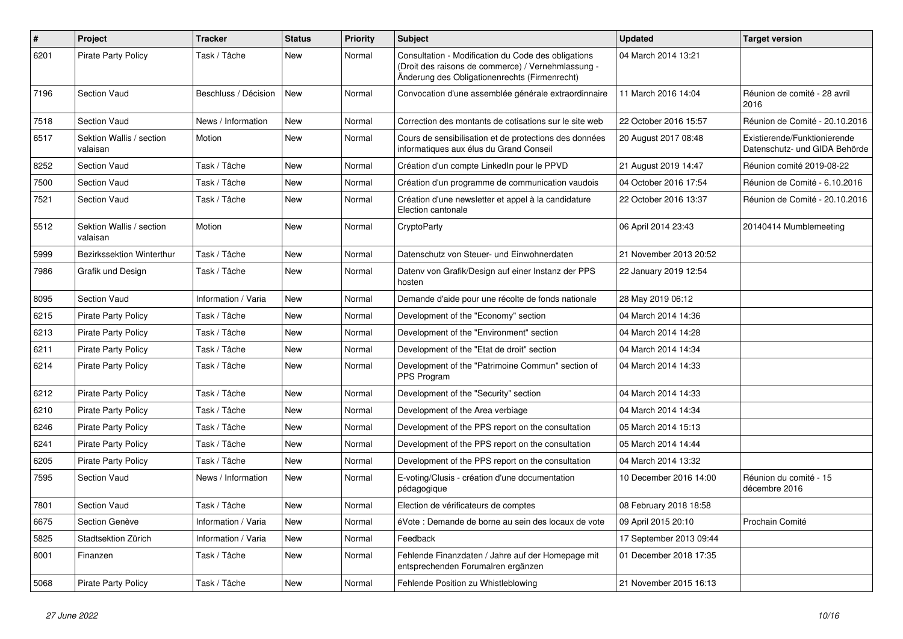| $\pmb{\#}$ | Project                              | <b>Tracker</b>       | <b>Status</b> | <b>Priority</b> | <b>Subject</b>                                                                                                                                             | <b>Updated</b>          | <b>Target version</b>                                         |
|------------|--------------------------------------|----------------------|---------------|-----------------|------------------------------------------------------------------------------------------------------------------------------------------------------------|-------------------------|---------------------------------------------------------------|
| 6201       | <b>Pirate Party Policy</b>           | Task / Tâche         | <b>New</b>    | Normal          | Consultation - Modification du Code des obligations<br>(Droit des raisons de commerce) / Vernehmlassung -<br>Änderung des Obligationenrechts (Firmenrecht) | 04 March 2014 13:21     |                                                               |
| 7196       | <b>Section Vaud</b>                  | Beschluss / Décision | New           | Normal          | Convocation d'une assemblée générale extraordinnaire                                                                                                       | 11 March 2016 14:04     | Réunion de comité - 28 avril<br>2016                          |
| 7518       | <b>Section Vaud</b>                  | News / Information   | New           | Normal          | Correction des montants de cotisations sur le site web                                                                                                     | 22 October 2016 15:57   | Réunion de Comité - 20.10.2016                                |
| 6517       | Sektion Wallis / section<br>valaisan | Motion               | <b>New</b>    | Normal          | Cours de sensibilisation et de protections des données<br>informatiques aux élus du Grand Conseil                                                          | 20 August 2017 08:48    | Existierende/Funktionierende<br>Datenschutz- und GIDA Behörde |
| 8252       | <b>Section Vaud</b>                  | Task / Tâche         | <b>New</b>    | Normal          | Création d'un compte LinkedIn pour le PPVD                                                                                                                 | 21 August 2019 14:47    | Réunion comité 2019-08-22                                     |
| 7500       | <b>Section Vaud</b>                  | Task / Tâche         | <b>New</b>    | Normal          | Création d'un programme de communication vaudois                                                                                                           | 04 October 2016 17:54   | Réunion de Comité - 6.10.2016                                 |
| 7521       | <b>Section Vaud</b>                  | Task / Tâche         | <b>New</b>    | Normal          | Création d'une newsletter et appel à la candidature<br>Election cantonale                                                                                  | 22 October 2016 13:37   | Réunion de Comité - 20.10.2016                                |
| 5512       | Sektion Wallis / section<br>valaisan | Motion               | New           | Normal          | CryptoParty                                                                                                                                                | 06 April 2014 23:43     | 20140414 Mumblemeeting                                        |
| 5999       | <b>Bezirkssektion Winterthur</b>     | Task / Tâche         | <b>New</b>    | Normal          | Datenschutz von Steuer- und Einwohnerdaten                                                                                                                 | 21 November 2013 20:52  |                                                               |
| 7986       | Grafik und Design                    | Task / Tâche         | New           | Normal          | Datenv von Grafik/Design auf einer Instanz der PPS<br>hosten                                                                                               | 22 January 2019 12:54   |                                                               |
| 8095       | <b>Section Vaud</b>                  | Information / Varia  | <b>New</b>    | Normal          | Demande d'aide pour une récolte de fonds nationale                                                                                                         | 28 May 2019 06:12       |                                                               |
| 6215       | <b>Pirate Party Policy</b>           | Task / Tâche         | New           | Normal          | Development of the "Economy" section                                                                                                                       | 04 March 2014 14:36     |                                                               |
| 6213       | <b>Pirate Party Policy</b>           | Task / Tâche         | <b>New</b>    | Normal          | Development of the "Environment" section                                                                                                                   | 04 March 2014 14:28     |                                                               |
| 6211       | <b>Pirate Party Policy</b>           | Task / Tâche         | <b>New</b>    | Normal          | Development of the "Etat de droit" section                                                                                                                 | 04 March 2014 14:34     |                                                               |
| 6214       | Pirate Party Policy                  | Task / Tâche         | <b>New</b>    | Normal          | Development of the "Patrimoine Commun" section of<br><b>PPS Program</b>                                                                                    | 04 March 2014 14:33     |                                                               |
| 6212       | <b>Pirate Party Policy</b>           | Task / Tâche         | <b>New</b>    | Normal          | Development of the "Security" section                                                                                                                      | 04 March 2014 14:33     |                                                               |
| 6210       | <b>Pirate Party Policy</b>           | Task / Tâche         | New           | Normal          | Development of the Area verbiage                                                                                                                           | 04 March 2014 14:34     |                                                               |
| 6246       | <b>Pirate Party Policy</b>           | Task / Tâche         | <b>New</b>    | Normal          | Development of the PPS report on the consultation                                                                                                          | 05 March 2014 15:13     |                                                               |
| 6241       | <b>Pirate Party Policy</b>           | Task / Tâche         | New           | Normal          | Development of the PPS report on the consultation                                                                                                          | 05 March 2014 14:44     |                                                               |
| 6205       | <b>Pirate Party Policy</b>           | Task / Tâche         | <b>New</b>    | Normal          | Development of the PPS report on the consultation                                                                                                          | 04 March 2014 13:32     |                                                               |
| 7595       | <b>Section Vaud</b>                  | News / Information   | <b>New</b>    | Normal          | E-voting/Clusis - création d'une documentation<br>pédagogique                                                                                              | 10 December 2016 14:00  | Réunion du comité - 15<br>décembre 2016                       |
| 7801       | <b>Section Vaud</b>                  | Task / Tâche         | <b>New</b>    | Normal          | Election de vérificateurs de comptes                                                                                                                       | 08 February 2018 18:58  |                                                               |
| 6675       | Section Genève                       | Information / Varia  | <b>New</b>    | Normal          | éVote : Demande de borne au sein des locaux de vote                                                                                                        | 09 April 2015 20:10     | Prochain Comité                                               |
| 5825       | Stadtsektion Zürich                  | Information / Varia  | New           | Normal          | Feedback                                                                                                                                                   | 17 September 2013 09:44 |                                                               |
| 8001       | Finanzen                             | Task / Tâche         | New           | Normal          | Fehlende Finanzdaten / Jahre auf der Homepage mit<br>entsprechenden Forumalren ergänzen                                                                    | 01 December 2018 17:35  |                                                               |
| 5068       | <b>Pirate Party Policy</b>           | Task / Tâche         | New           | Normal          | Fehlende Position zu Whistleblowing                                                                                                                        | 21 November 2015 16:13  |                                                               |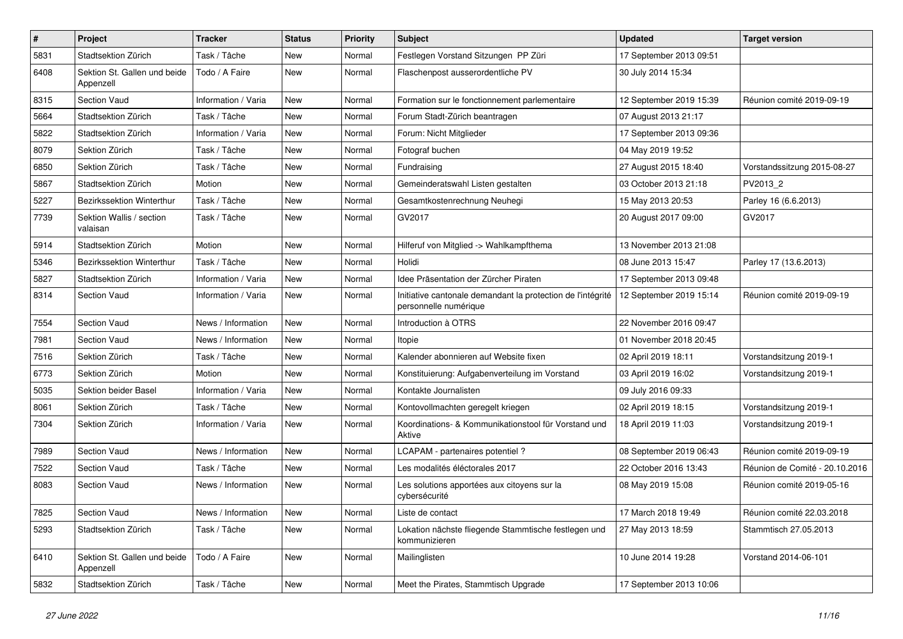| $\pmb{\#}$ | Project                                   | <b>Tracker</b>      | <b>Status</b> | <b>Priority</b> | <b>Subject</b>                                                                       | <b>Updated</b>          | <b>Target version</b>          |
|------------|-------------------------------------------|---------------------|---------------|-----------------|--------------------------------------------------------------------------------------|-------------------------|--------------------------------|
| 5831       | Stadtsektion Zürich                       | Task / Tâche        | New           | Normal          | Festlegen Vorstand Sitzungen PP Züri                                                 | 17 September 2013 09:51 |                                |
| 6408       | Sektion St. Gallen und beide<br>Appenzell | Todo / A Faire      | New           | Normal          | Flaschenpost ausserordentliche PV                                                    | 30 July 2014 15:34      |                                |
| 8315       | <b>Section Vaud</b>                       | Information / Varia | <b>New</b>    | Normal          | Formation sur le fonctionnement parlementaire                                        | 12 September 2019 15:39 | Réunion comité 2019-09-19      |
| 5664       | Stadtsektion Zürich                       | Task / Tâche        | <b>New</b>    | Normal          | Forum Stadt-Zürich beantragen                                                        | 07 August 2013 21:17    |                                |
| 5822       | Stadtsektion Zürich                       | Information / Varia | New           | Normal          | Forum: Nicht Mitglieder                                                              | 17 September 2013 09:36 |                                |
| 8079       | Sektion Zürich                            | Task / Tâche        | <b>New</b>    | Normal          | Fotograf buchen                                                                      | 04 May 2019 19:52       |                                |
| 6850       | Sektion Zürich                            | Task / Tâche        | New           | Normal          | Fundraising                                                                          | 27 August 2015 18:40    | Vorstandssitzung 2015-08-27    |
| 5867       | Stadtsektion Zürich                       | Motion              | New           | Normal          | Gemeinderatswahl Listen gestalten                                                    | 03 October 2013 21:18   | PV2013 2                       |
| 5227       | Bezirkssektion Winterthur                 | Task / Tâche        | <b>New</b>    | Normal          | Gesamtkostenrechnung Neuhegi                                                         | 15 May 2013 20:53       | Parley 16 (6.6.2013)           |
| 7739       | Sektion Wallis / section<br>valaisan      | Task / Tâche        | New           | Normal          | GV2017                                                                               | 20 August 2017 09:00    | GV2017                         |
| 5914       | Stadtsektion Zürich                       | Motion              | New           | Normal          | Hilferuf von Mitglied -> Wahlkampfthema                                              | 13 November 2013 21:08  |                                |
| 5346       | Bezirkssektion Winterthur                 | Task / Tâche        | <b>New</b>    | Normal          | Holidi                                                                               | 08 June 2013 15:47      | Parley 17 (13.6.2013)          |
| 5827       | Stadtsektion Zürich                       | Information / Varia | <b>New</b>    | Normal          | Idee Präsentation der Zürcher Piraten                                                | 17 September 2013 09:48 |                                |
| 8314       | Section Vaud                              | Information / Varia | New           | Normal          | Initiative cantonale demandant la protection de l'intégrité<br>personnelle numérique | 12 September 2019 15:14 | Réunion comité 2019-09-19      |
| 7554       | Section Vaud                              | News / Information  | New           | Normal          | Introduction à OTRS                                                                  | 22 November 2016 09:47  |                                |
| 7981       | <b>Section Vaud</b>                       | News / Information  | New           | Normal          | Itopie                                                                               | 01 November 2018 20:45  |                                |
| 7516       | Sektion Zürich                            | Task / Tâche        | <b>New</b>    | Normal          | Kalender abonnieren auf Website fixen                                                | 02 April 2019 18:11     | Vorstandsitzung 2019-1         |
| 6773       | Sektion Zürich                            | Motion              | New           | Normal          | Konstituierung: Aufgabenverteilung im Vorstand                                       | 03 April 2019 16:02     | Vorstandsitzung 2019-1         |
| 5035       | Sektion beider Basel                      | Information / Varia | <b>New</b>    | Normal          | Kontakte Journalisten                                                                | 09 July 2016 09:33      |                                |
| 8061       | Sektion Zürich                            | Task / Tâche        | <b>New</b>    | Normal          | Kontovollmachten geregelt kriegen                                                    | 02 April 2019 18:15     | Vorstandsitzung 2019-1         |
| 7304       | Sektion Zürich                            | Information / Varia | New           | Normal          | Koordinations- & Kommunikationstool für Vorstand und<br>Aktive                       | 18 April 2019 11:03     | Vorstandsitzung 2019-1         |
| 7989       | <b>Section Vaud</b>                       | News / Information  | <b>New</b>    | Normal          | LCAPAM - partenaires potentiel?                                                      | 08 September 2019 06:43 | Réunion comité 2019-09-19      |
| 7522       | <b>Section Vaud</b>                       | Task / Tâche        | New           | Normal          | Les modalités éléctorales 2017                                                       | 22 October 2016 13:43   | Réunion de Comité - 20.10.2016 |
| 8083       | <b>Section Vaud</b>                       | News / Information  | <b>New</b>    | Normal          | Les solutions apportées aux citoyens sur la<br>cybersécurité                         | 08 May 2019 15:08       | Réunion comité 2019-05-16      |
| 7825       | Section Vaud                              | News / Information  | New           | Normal          | Liste de contact                                                                     | 17 March 2018 19:49     | Réunion comité 22.03.2018      |
| 5293       | Stadtsektion Zürich                       | Task / Tâche        | New           | Normal          | Lokation nächste fliegende Stammtische festlegen und<br>kommunizieren                | 27 May 2013 18:59       | Stammtisch 27.05.2013          |
| 6410       | Sektion St. Gallen und beide<br>Appenzell | Todo / A Faire      | New           | Normal          | Mailinglisten                                                                        | 10 June 2014 19:28      | Vorstand 2014-06-101           |
| 5832       | Stadtsektion Zürich                       | Task / Tâche        | New           | Normal          | Meet the Pirates, Stammtisch Upgrade                                                 | 17 September 2013 10:06 |                                |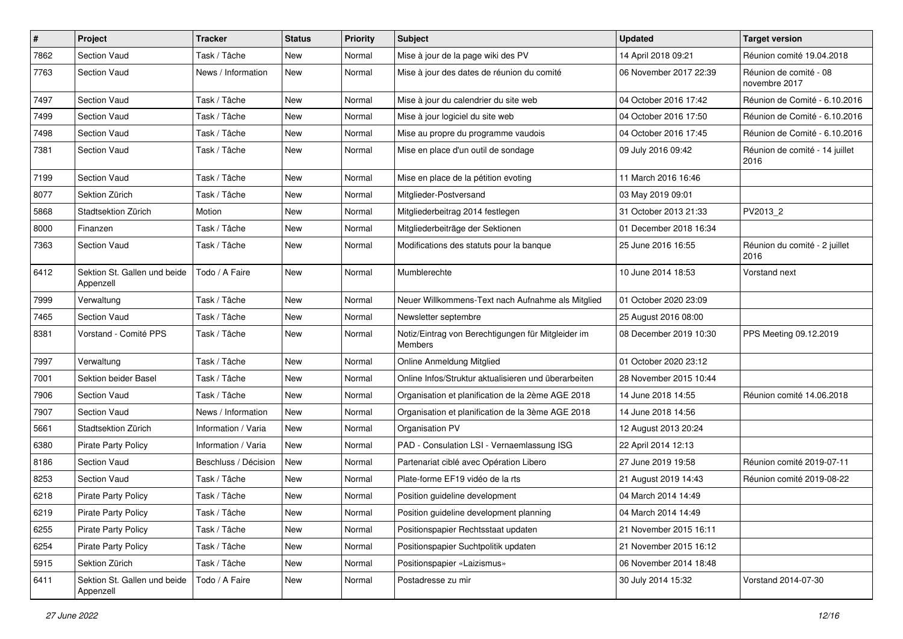| $\#$ | Project                                   | <b>Tracker</b>       | <b>Status</b> | <b>Priority</b> | <b>Subject</b>                                                | <b>Updated</b>         | <b>Target version</b>                   |
|------|-------------------------------------------|----------------------|---------------|-----------------|---------------------------------------------------------------|------------------------|-----------------------------------------|
| 7862 | Section Vaud                              | Task / Tâche         | New           | Normal          | Mise à jour de la page wiki des PV                            | 14 April 2018 09:21    | Réunion comité 19.04.2018               |
| 7763 | <b>Section Vaud</b>                       | News / Information   | <b>New</b>    | Normal          | Mise à jour des dates de réunion du comité                    | 06 November 2017 22:39 | Réunion de comité - 08<br>novembre 2017 |
| 7497 | Section Vaud                              | Task / Tâche         | New           | Normal          | Mise à jour du calendrier du site web                         | 04 October 2016 17:42  | Réunion de Comité - 6.10.2016           |
| 7499 | Section Vaud                              | Task / Tâche         | New           | Normal          | Mise à jour logiciel du site web                              | 04 October 2016 17:50  | Réunion de Comité - 6.10.2016           |
| 7498 | <b>Section Vaud</b>                       | Task / Tâche         | New           | Normal          | Mise au propre du programme vaudois                           | 04 October 2016 17:45  | Réunion de Comité - 6.10.2016           |
| 7381 | <b>Section Vaud</b>                       | Task / Tâche         | New           | Normal          | Mise en place d'un outil de sondage                           | 09 July 2016 09:42     | Réunion de comité - 14 juillet<br>2016  |
| 7199 | Section Vaud                              | Task / Tâche         | New           | Normal          | Mise en place de la pétition evoting                          | 11 March 2016 16:46    |                                         |
| 8077 | Sektion Zürich                            | Task / Tâche         | New           | Normal          | Mitglieder-Postversand                                        | 03 May 2019 09:01      |                                         |
| 5868 | Stadtsektion Zürich                       | Motion               | New           | Normal          | Mitgliederbeitrag 2014 festlegen                              | 31 October 2013 21:33  | PV2013 2                                |
| 8000 | Finanzen                                  | Task / Tâche         | New           | Normal          | Mitgliederbeiträge der Sektionen                              | 01 December 2018 16:34 |                                         |
| 7363 | Section Vaud                              | Task / Tâche         | New           | Normal          | Modifications des statuts pour la banque                      | 25 June 2016 16:55     | Réunion du comité - 2 juillet<br>2016   |
| 6412 | Sektion St. Gallen und beide<br>Appenzell | Todo / A Faire       | New           | Normal          | Mumblerechte                                                  | 10 June 2014 18:53     | Vorstand next                           |
| 7999 | Verwaltung                                | Task / Tâche         | New           | Normal          | Neuer Willkommens-Text nach Aufnahme als Mitglied             | 01 October 2020 23:09  |                                         |
| 7465 | <b>Section Vaud</b>                       | Task / Tâche         | New           | Normal          | Newsletter septembre                                          | 25 August 2016 08:00   |                                         |
| 8381 | Vorstand - Comité PPS                     | Task / Tâche         | New           | Normal          | Notiz/Eintrag von Berechtigungen für Mitgleider im<br>Members | 08 December 2019 10:30 | PPS Meeting 09.12.2019                  |
| 7997 | Verwaltung                                | Task / Tâche         | New           | Normal          | Online Anmeldung Mitglied                                     | 01 October 2020 23:12  |                                         |
| 7001 | Sektion beider Basel                      | Task / Tâche         | New           | Normal          | Online Infos/Struktur aktualisieren und überarbeiten          | 28 November 2015 10:44 |                                         |
| 7906 | <b>Section Vaud</b>                       | Task / Tâche         | <b>New</b>    | Normal          | Organisation et planification de la 2ème AGE 2018             | 14 June 2018 14:55     | Réunion comité 14.06.2018               |
| 7907 | <b>Section Vaud</b>                       | News / Information   | <b>New</b>    | Normal          | Organisation et planification de la 3ème AGE 2018             | 14 June 2018 14:56     |                                         |
| 5661 | Stadtsektion Zürich                       | Information / Varia  | New           | Normal          | Organisation PV                                               | 12 August 2013 20:24   |                                         |
| 6380 | <b>Pirate Party Policy</b>                | Information / Varia  | New           | Normal          | PAD - Consulation LSI - Vernaemlassung ISG                    | 22 April 2014 12:13    |                                         |
| 8186 | <b>Section Vaud</b>                       | Beschluss / Décision | New           | Normal          | Partenariat ciblé avec Opération Libero                       | 27 June 2019 19:58     | Réunion comité 2019-07-11               |
| 8253 | Section Vaud                              | Task / Tâche         | New           | Normal          | Plate-forme EF19 vidéo de la rts                              | 21 August 2019 14:43   | Réunion comité 2019-08-22               |
| 6218 | <b>Pirate Party Policy</b>                | Task / Tâche         | New           | Normal          | Position guideline development                                | 04 March 2014 14:49    |                                         |
| 6219 | Pirate Party Policy                       | Task / Tâche         | New           | Normal          | Position guideline development planning                       | 04 March 2014 14:49    |                                         |
| 6255 | <b>Pirate Party Policy</b>                | Task / Tâche         | New           | Normal          | Positionspapier Rechtsstaat updaten                           | 21 November 2015 16:11 |                                         |
| 6254 | <b>Pirate Party Policy</b>                | Task / Tâche         | New           | Normal          | Positionspapier Suchtpolitik updaten                          | 21 November 2015 16:12 |                                         |
| 5915 | Sektion Zürich                            | Task / Tâche         | New           | Normal          | Positionspapier «Laizismus»                                   | 06 November 2014 18:48 |                                         |
| 6411 | Sektion St. Gallen und beide<br>Appenzell | Todo / A Faire       | New           | Normal          | Postadresse zu mir                                            | 30 July 2014 15:32     | Vorstand 2014-07-30                     |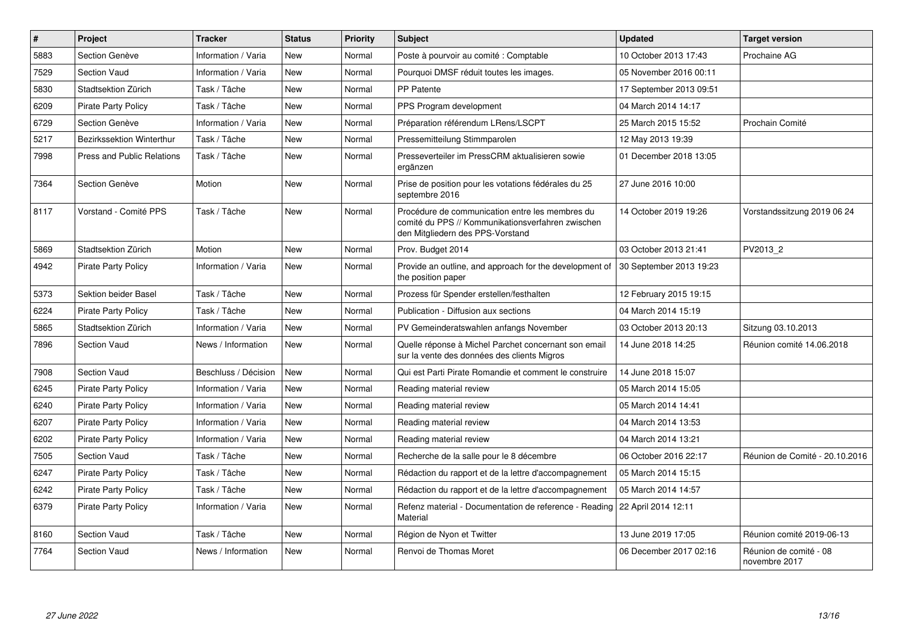| $\vert$ # | Project                           | <b>Tracker</b>       | <b>Status</b> | <b>Priority</b> | <b>Subject</b>                                                                                                                           | <b>Updated</b>          | <b>Target version</b>                   |
|-----------|-----------------------------------|----------------------|---------------|-----------------|------------------------------------------------------------------------------------------------------------------------------------------|-------------------------|-----------------------------------------|
| 5883      | Section Genève                    | Information / Varia  | <b>New</b>    | Normal          | Poste à pourvoir au comité : Comptable                                                                                                   | 10 October 2013 17:43   | Prochaine AG                            |
| 7529      | <b>Section Vaud</b>               | Information / Varia  | <b>New</b>    | Normal          | Pourquoi DMSF réduit toutes les images.                                                                                                  | 05 November 2016 00:11  |                                         |
| 5830      | Stadtsektion Zürich               | Task / Tâche         | New           | Normal          | <b>PP Patente</b>                                                                                                                        | 17 September 2013 09:51 |                                         |
| 6209      | Pirate Party Policy               | Task / Tâche         | <b>New</b>    | Normal          | PPS Program development                                                                                                                  | 04 March 2014 14:17     |                                         |
| 6729      | Section Genève                    | Information / Varia  | New           | Normal          | Préparation référendum LRens/LSCPT                                                                                                       | 25 March 2015 15:52     | Prochain Comité                         |
| 5217      | Bezirkssektion Winterthur         | Task / Tâche         | <b>New</b>    | Normal          | Pressemitteilung Stimmparolen                                                                                                            | 12 May 2013 19:39       |                                         |
| 7998      | <b>Press and Public Relations</b> | Task / Tâche         | <b>New</b>    | Normal          | Presseverteiler im PressCRM aktualisieren sowie<br>ergänzen                                                                              | 01 December 2018 13:05  |                                         |
| 7364      | Section Genève                    | Motion               | New           | Normal          | Prise de position pour les votations fédérales du 25<br>septembre 2016                                                                   | 27 June 2016 10:00      |                                         |
| 8117      | Vorstand - Comité PPS             | Task / Tâche         | <b>New</b>    | Normal          | Procédure de communication entre les membres du<br>comité du PPS // Kommunikationsverfahren zwischen<br>den Mitgliedern des PPS-Vorstand | 14 October 2019 19:26   | Vorstandssitzung 2019 06 24             |
| 5869      | Stadtsektion Zürich               | Motion               | New           | Normal          | Prov. Budget 2014                                                                                                                        | 03 October 2013 21:41   | PV2013 2                                |
| 4942      | <b>Pirate Party Policy</b>        | Information / Varia  | <b>New</b>    | Normal          | Provide an outline, and approach for the development of<br>the position paper                                                            | 30 September 2013 19:23 |                                         |
| 5373      | Sektion beider Basel              | Task / Tâche         | <b>New</b>    | Normal          | Prozess für Spender erstellen/festhalten                                                                                                 | 12 February 2015 19:15  |                                         |
| 6224      | <b>Pirate Party Policy</b>        | Task / Tâche         | New           | Normal          | Publication - Diffusion aux sections                                                                                                     | 04 March 2014 15:19     |                                         |
| 5865      | Stadtsektion Zürich               | Information / Varia  | <b>New</b>    | Normal          | PV Gemeinderatswahlen anfangs November                                                                                                   | 03 October 2013 20:13   | Sitzung 03.10.2013                      |
| 7896      | <b>Section Vaud</b>               | News / Information   | <b>New</b>    | Normal          | Quelle réponse à Michel Parchet concernant son email<br>sur la vente des données des clients Migros                                      | 14 June 2018 14:25      | Réunion comité 14.06.2018               |
| 7908      | Section Vaud                      | Beschluss / Décision | New           | Normal          | Qui est Parti Pirate Romandie et comment le construire                                                                                   | 14 June 2018 15:07      |                                         |
| 6245      | <b>Pirate Party Policy</b>        | Information / Varia  | <b>New</b>    | Normal          | Reading material review                                                                                                                  | 05 March 2014 15:05     |                                         |
| 6240      | <b>Pirate Party Policy</b>        | Information / Varia  | <b>New</b>    | Normal          | Reading material review                                                                                                                  | 05 March 2014 14:41     |                                         |
| 6207      | Pirate Party Policy               | Information / Varia  | <b>New</b>    | Normal          | Reading material review                                                                                                                  | 04 March 2014 13:53     |                                         |
| 6202      | <b>Pirate Party Policy</b>        | Information / Varia  | <b>New</b>    | Normal          | Reading material review                                                                                                                  | 04 March 2014 13:21     |                                         |
| 7505      | Section Vaud                      | Task / Tâche         | <b>New</b>    | Normal          | Recherche de la salle pour le 8 décembre                                                                                                 | 06 October 2016 22:17   | Réunion de Comité - 20.10.2016          |
| 6247      | <b>Pirate Party Policy</b>        | Task / Tâche         | <b>New</b>    | Normal          | Rédaction du rapport et de la lettre d'accompagnement                                                                                    | 05 March 2014 15:15     |                                         |
| 6242      | <b>Pirate Party Policy</b>        | Task / Tâche         | <b>New</b>    | Normal          | Rédaction du rapport et de la lettre d'accompagnement                                                                                    | 05 March 2014 14:57     |                                         |
| 6379      | Pirate Party Policy               | Information / Varia  | <b>New</b>    | Normal          | Refenz material - Documentation de reference - Reading<br>Material                                                                       | 22 April 2014 12:11     |                                         |
| 8160      | Section Vaud                      | Task / Tâche         | New           | Normal          | Région de Nyon et Twitter                                                                                                                | 13 June 2019 17:05      | Réunion comité 2019-06-13               |
| 7764      | Section Vaud                      | News / Information   | <b>New</b>    | Normal          | Renvoi de Thomas Moret                                                                                                                   | 06 December 2017 02:16  | Réunion de comité - 08<br>novembre 2017 |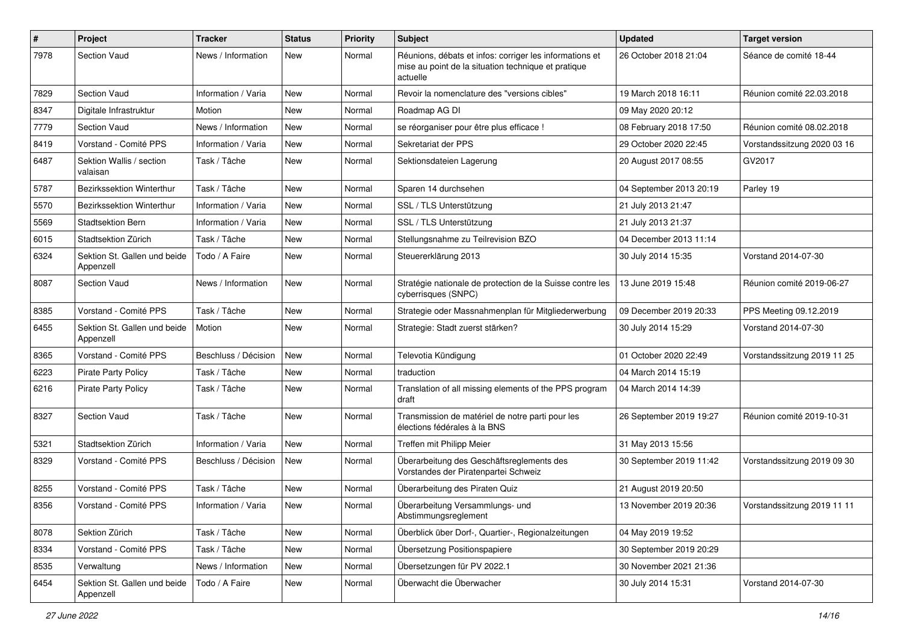| #    | <b>Project</b>                            | <b>Tracker</b>       | <b>Status</b> | <b>Priority</b> | <b>Subject</b>                                                                                                             | <b>Updated</b>          | <b>Target version</b>       |
|------|-------------------------------------------|----------------------|---------------|-----------------|----------------------------------------------------------------------------------------------------------------------------|-------------------------|-----------------------------|
| 7978 | <b>Section Vaud</b>                       | News / Information   | New           | Normal          | Réunions, débats et infos: corriger les informations et<br>mise au point de la situation technique et pratique<br>actuelle | 26 October 2018 21:04   | Séance de comité 18-44      |
| 7829 | <b>Section Vaud</b>                       | Information / Varia  | New           | Normal          | Revoir la nomenclature des "versions cibles"                                                                               | 19 March 2018 16:11     | Réunion comité 22.03.2018   |
| 8347 | Digitale Infrastruktur                    | Motion               | New           | Normal          | Roadmap AG DI                                                                                                              | 09 May 2020 20:12       |                             |
| 7779 | <b>Section Vaud</b>                       | News / Information   | New           | Normal          | se réorganiser pour être plus efficace !                                                                                   | 08 February 2018 17:50  | Réunion comité 08.02.2018   |
| 8419 | Vorstand - Comité PPS                     | Information / Varia  | New           | Normal          | Sekretariat der PPS                                                                                                        | 29 October 2020 22:45   | Vorstandssitzung 2020 03 16 |
| 6487 | Sektion Wallis / section<br>valaisan      | Task / Tâche         | New           | Normal          | Sektionsdateien Lagerung                                                                                                   | 20 August 2017 08:55    | GV2017                      |
| 5787 | <b>Bezirkssektion Winterthur</b>          | Task / Tâche         | New           | Normal          | Sparen 14 durchsehen                                                                                                       | 04 September 2013 20:19 | Parley 19                   |
| 5570 | Bezirkssektion Winterthur                 | Information / Varia  | New           | Normal          | SSL / TLS Unterstützung                                                                                                    | 21 July 2013 21:47      |                             |
| 5569 | <b>Stadtsektion Bern</b>                  | Information / Varia  | New           | Normal          | SSL / TLS Unterstützung                                                                                                    | 21 July 2013 21:37      |                             |
| 6015 | Stadtsektion Zürich                       | Task / Tâche         | New           | Normal          | Stellungsnahme zu Teilrevision BZO                                                                                         | 04 December 2013 11:14  |                             |
| 6324 | Sektion St. Gallen und beide<br>Appenzell | Todo / A Faire       | New           | Normal          | Steuererklärung 2013                                                                                                       | 30 July 2014 15:35      | Vorstand 2014-07-30         |
| 8087 | Section Vaud                              | News / Information   | New           | Normal          | Stratégie nationale de protection de la Suisse contre les<br>cyberrisques (SNPC)                                           | 13 June 2019 15:48      | Réunion comité 2019-06-27   |
| 8385 | Vorstand - Comité PPS                     | Task / Tâche         | New           | Normal          | Strategie oder Massnahmenplan für Mitgliederwerbung                                                                        | 09 December 2019 20:33  | PPS Meeting 09.12.2019      |
| 6455 | Sektion St. Gallen und beide<br>Appenzell | Motion               | New           | Normal          | Strategie: Stadt zuerst stärken?                                                                                           | 30 July 2014 15:29      | Vorstand 2014-07-30         |
| 8365 | Vorstand - Comité PPS                     | Beschluss / Décision | New           | Normal          | Televotia Kündigung                                                                                                        | 01 October 2020 22:49   | Vorstandssitzung 2019 11 25 |
| 6223 | <b>Pirate Party Policy</b>                | Task / Tâche         | New           | Normal          | traduction                                                                                                                 | 04 March 2014 15:19     |                             |
| 6216 | Pirate Party Policy                       | Task / Tâche         | New           | Normal          | Translation of all missing elements of the PPS program<br>draft                                                            | 04 March 2014 14:39     |                             |
| 8327 | <b>Section Vaud</b>                       | Task / Tâche         | New           | Normal          | Transmission de matériel de notre parti pour les<br>élections fédérales à la BNS                                           | 26 September 2019 19:27 | Réunion comité 2019-10-31   |
| 5321 | Stadtsektion Zürich                       | Information / Varia  | New           | Normal          | Treffen mit Philipp Meier                                                                                                  | 31 May 2013 15:56       |                             |
| 8329 | Vorstand - Comité PPS                     | Beschluss / Décision | New           | Normal          | Überarbeitung des Geschäftsreglements des<br>Vorstandes der Piratenpartei Schweiz                                          | 30 September 2019 11:42 | Vorstandssitzung 2019 09 30 |
| 8255 | Vorstand - Comité PPS                     | Task / Tâche         | New           | Normal          | Überarbeitung des Piraten Quiz                                                                                             | 21 August 2019 20:50    |                             |
| 8356 | Vorstand - Comité PPS                     | Information / Varia  | New           | Normal          | Überarbeitung Versammlungs- und<br>Abstimmungsreglement                                                                    | 13 November 2019 20:36  | Vorstandssitzung 2019 11 11 |
| 8078 | Sektion Zürich                            | Task / Tâche         | New           | Normal          | Überblick über Dorf-, Quartier-, Regionalzeitungen                                                                         | 04 May 2019 19:52       |                             |
| 8334 | Vorstand - Comité PPS                     | Task / Tâche         | New           | Normal          | Übersetzung Positionspapiere                                                                                               | 30 September 2019 20:29 |                             |
| 8535 | Verwaltung                                | News / Information   | New           | Normal          | Übersetzungen für PV 2022.1                                                                                                | 30 November 2021 21:36  |                             |
| 6454 | Sektion St. Gallen und beide<br>Appenzell | Todo / A Faire       | New           | Normal          | Überwacht die Überwacher                                                                                                   | 30 July 2014 15:31      | Vorstand 2014-07-30         |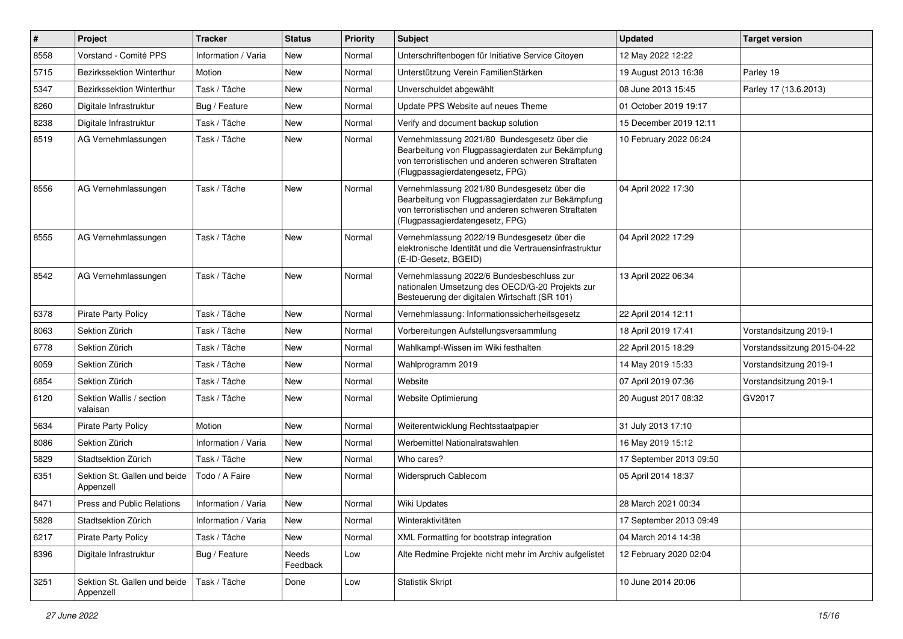| $\sharp$ | Project                                   | <b>Tracker</b>      | <b>Status</b>     | <b>Priority</b> | Subject                                                                                                                                                                                     | <b>Updated</b>          | <b>Target version</b>       |
|----------|-------------------------------------------|---------------------|-------------------|-----------------|---------------------------------------------------------------------------------------------------------------------------------------------------------------------------------------------|-------------------------|-----------------------------|
| 8558     | Vorstand - Comité PPS                     | Information / Varia | <b>New</b>        | Normal          | Unterschriftenbogen für Initiative Service Citoyen                                                                                                                                          | 12 May 2022 12:22       |                             |
| 5715     | Bezirkssektion Winterthur                 | Motion              | <b>New</b>        | Normal          | Unterstützung Verein FamilienStärken                                                                                                                                                        | 19 August 2013 16:38    | Parley 19                   |
| 5347     | Bezirkssektion Winterthur                 | Task / Tâche        | <b>New</b>        | Normal          | Unverschuldet abgewählt                                                                                                                                                                     | 08 June 2013 15:45      | Parley 17 (13.6.2013)       |
| 8260     | Digitale Infrastruktur                    | Bug / Feature       | <b>New</b>        | Normal          | Update PPS Website auf neues Theme                                                                                                                                                          | 01 October 2019 19:17   |                             |
| 8238     | Digitale Infrastruktur                    | Task / Tâche        | <b>New</b>        | Normal          | Verify and document backup solution                                                                                                                                                         | 15 December 2019 12:11  |                             |
| 8519     | AG Vernehmlassungen                       | Task / Tâche        | New               | Normal          | Vernehmlassung 2021/80 Bundesgesetz über die<br>Bearbeitung von Flugpassagierdaten zur Bekämpfung<br>von terroristischen und anderen schweren Straftaten<br>(Flugpassagierdatengesetz, FPG) | 10 February 2022 06:24  |                             |
| 8556     | AG Vernehmlassungen                       | Task / Tâche        | <b>New</b>        | Normal          | Vernehmlassung 2021/80 Bundesgesetz über die<br>Bearbeitung von Flugpassagierdaten zur Bekämpfung<br>von terroristischen und anderen schweren Straftaten<br>(Flugpassagierdatengesetz, FPG) | 04 April 2022 17:30     |                             |
| 8555     | AG Vernehmlassungen                       | Task / Tâche        | <b>New</b>        | Normal          | Vernehmlassung 2022/19 Bundesgesetz über die<br>elektronische Identität und die Vertrauensinfrastruktur<br>(E-ID-Gesetz, BGEID)                                                             | 04 April 2022 17:29     |                             |
| 8542     | AG Vernehmlassungen                       | Task / Tâche        | New               | Normal          | Vernehmlassung 2022/6 Bundesbeschluss zur<br>nationalen Umsetzung des OECD/G-20 Projekts zur<br>Besteuerung der digitalen Wirtschaft (SR 101)                                               | 13 April 2022 06:34     |                             |
| 6378     | <b>Pirate Party Policy</b>                | Task / Tâche        | New               | Normal          | Vernehmlassung: Informationssicherheitsgesetz                                                                                                                                               | 22 April 2014 12:11     |                             |
| 8063     | Sektion Zürich                            | Task / Tâche        | <b>New</b>        | Normal          | Vorbereitungen Aufstellungsversammlung                                                                                                                                                      | 18 April 2019 17:41     | Vorstandsitzung 2019-1      |
| 6778     | Sektion Zürich                            | Task / Tâche        | <b>New</b>        | Normal          | Wahlkampf-Wissen im Wiki festhalten                                                                                                                                                         | 22 April 2015 18:29     | Vorstandssitzung 2015-04-22 |
| 8059     | Sektion Zürich                            | Task / Tâche        | New               | Normal          | Wahlprogramm 2019                                                                                                                                                                           | 14 May 2019 15:33       | Vorstandsitzung 2019-1      |
| 6854     | Sektion Zürich                            | Task / Tâche        | <b>New</b>        | Normal          | Website                                                                                                                                                                                     | 07 April 2019 07:36     | Vorstandsitzung 2019-1      |
| 6120     | Sektion Wallis / section<br>valaisan      | Task / Tâche        | New               | Normal          | Website Optimierung                                                                                                                                                                         | 20 August 2017 08:32    | GV2017                      |
| 5634     | <b>Pirate Party Policy</b>                | Motion              | <b>New</b>        | Normal          | Weiterentwicklung Rechtsstaatpapier                                                                                                                                                         | 31 July 2013 17:10      |                             |
| 8086     | Sektion Zürich                            | Information / Varia | New               | Normal          | Werbemittel Nationalratswahlen                                                                                                                                                              | 16 May 2019 15:12       |                             |
| 5829     | Stadtsektion Zürich                       | Task / Tâche        | <b>New</b>        | Normal          | Who cares?                                                                                                                                                                                  | 17 September 2013 09:50 |                             |
| 6351     | Sektion St. Gallen und beide<br>Appenzell | Todo / A Faire      | New               | Normal          | Widerspruch Cablecom                                                                                                                                                                        | 05 April 2014 18:37     |                             |
| 8471     | <b>Press and Public Relations</b>         | Information / Varia | <b>New</b>        | Normal          | <b>Wiki Updates</b>                                                                                                                                                                         | 28 March 2021 00:34     |                             |
| 5828     | Stadtsektion Zürich                       | Information / Varia | New               | Normal          | Winteraktivitäten                                                                                                                                                                           | 17 September 2013 09:49 |                             |
| 6217     | <b>Pirate Party Policy</b>                | Task / Tâche        | New               | Normal          | XML Formatting for bootstrap integration                                                                                                                                                    | 04 March 2014 14:38     |                             |
| 8396     | Digitale Infrastruktur                    | Bug / Feature       | Needs<br>Feedback | Low             | Alte Redmine Projekte nicht mehr im Archiv aufgelistet                                                                                                                                      | 12 February 2020 02:04  |                             |
| 3251     | Sektion St. Gallen und beide<br>Appenzell | Task / Tâche        | Done              | Low             | Statistik Skript                                                                                                                                                                            | 10 June 2014 20:06      |                             |